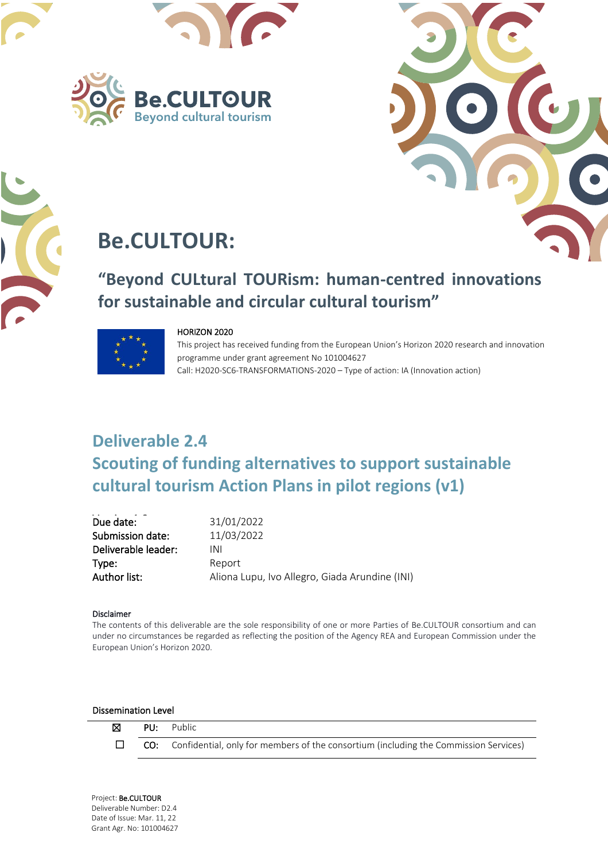





# **Be.CULTOUR:**

# **"Beyond CULtural TOURism: human-centred innovations for sustainable and circular cultural tourism"**



#### HORIZON 2020

This project has received funding from the European Union's Horizon 2020 research and innovation programme under grant agreement No 101004627 Call: H2020-SC6-TRANSFORMATIONS-2020 – Type of action: IA (Innovation action)

# **Deliverable 2.4 Scouting of funding alternatives to support sustainable cultural tourism Action Plans in pilot regions (v1)**

| Due date:           | 31/01/2022                                     |
|---------------------|------------------------------------------------|
| Submission date:    | 11/03/2022                                     |
| Deliverable leader: | INI                                            |
| Type:               | Report                                         |
| Author list:        | Aliona Lupu, Ivo Allegro, Giada Arundine (INI) |

#### Disclaimer

The contents of this deliverable are the sole responsibility of one or more Parties of Be.CULTOUR consortium and can under no circumstances be regarded as reflecting the position of the Agency REA and European Commission under the European Union's Horizon 2020.

#### Dissemination Level

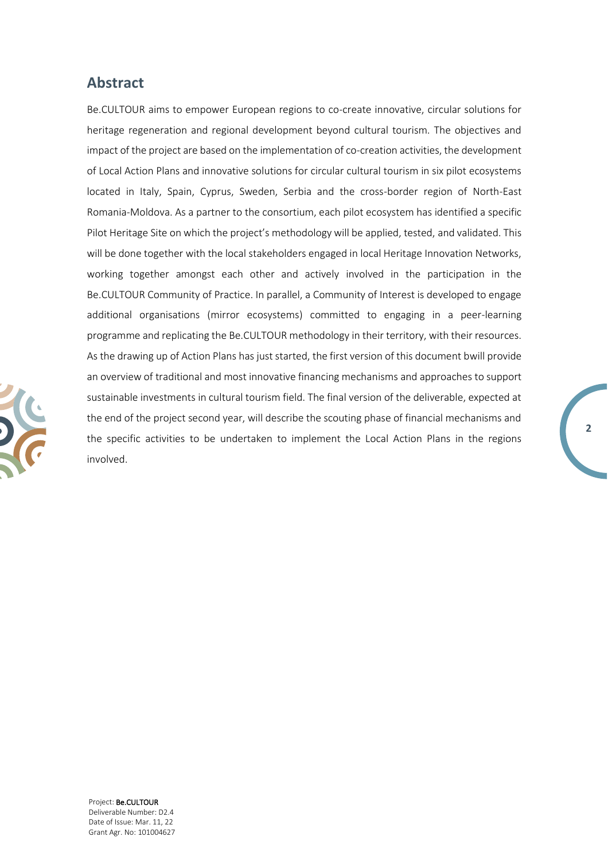### **Abstract**

Be.CULTOUR aims to empower European regions to co-create innovative, circular solutions for heritage regeneration and regional development beyond cultural tourism. The objectives and impact of the project are based on the implementation of co-creation activities, the development of Local Action Plans and innovative solutions for circular cultural tourism in six pilot ecosystems located in Italy, Spain, Cyprus, Sweden, Serbia and the cross-border region of North-East Romania-Moldova. As a partner to the consortium, each pilot ecosystem has identified a specific Pilot Heritage Site on which the project's methodology will be applied, tested, and validated. This will be done together with the local stakeholders engaged in local Heritage Innovation Networks, working together amongst each other and actively involved in the participation in the Be.CULTOUR Community of Practice. In parallel, a Community of Interest is developed to engage additional organisations (mirror ecosystems) committed to engaging in a peer-learning programme and replicating the Be.CULTOUR methodology in their territory, with their resources. As the drawing up of Action Plans has just started, the first version of this document bwill provide an overview of traditional and most innovative financing mechanisms and approaches to support sustainable investments in cultural tourism field. The final version of the deliverable, expected at the end of the project second year, will describe the scouting phase of financial mechanisms and the specific activities to be undertaken to implement the Local Action Plans in the regions involved.

**2**

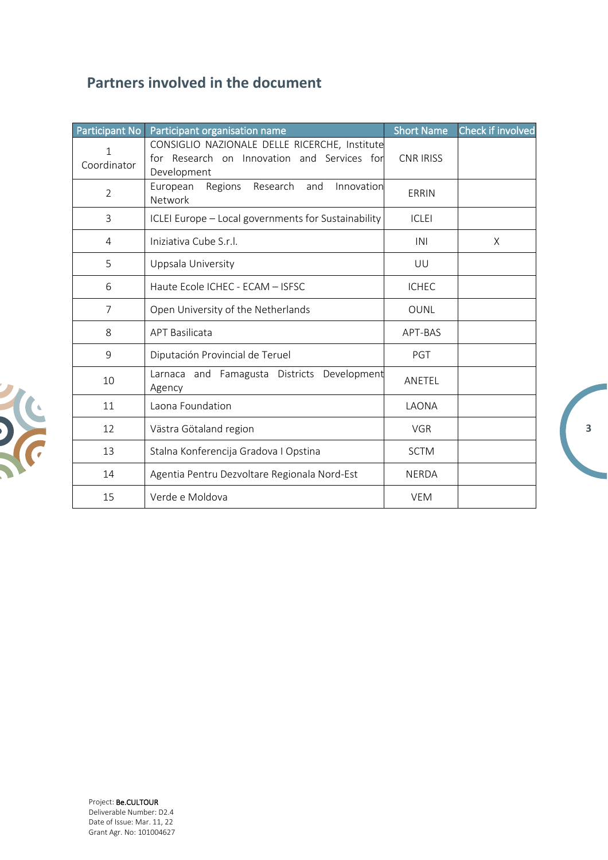## **Partners involved in the document**

| Participant No   | Participant organisation name                                                                               | <b>Short Name</b> | Check if involved |
|------------------|-------------------------------------------------------------------------------------------------------------|-------------------|-------------------|
| 1<br>Coordinator | CONSIGLIO NAZIONALE DELLE RICERCHE, Institute<br>for Research on Innovation and Services for<br>Development | <b>CNR IRISS</b>  |                   |
| $\overline{2}$   | Research<br>Innovation<br>European<br>Regions<br>and<br>Network                                             | ERRIN             |                   |
| 3                | ICLEI Europe - Local governments for Sustainability                                                         | <b>ICLEI</b>      |                   |
| 4                | Iniziativa Cube S.r.l.                                                                                      | INI               | X                 |
| 5                | Uppsala University                                                                                          | UU                |                   |
| 6                | Haute Ecole ICHEC - ECAM - ISFSC                                                                            | <b>ICHEC</b>      |                   |
| $\overline{7}$   | Open University of the Netherlands                                                                          | <b>OUNL</b>       |                   |
| 8                | <b>APT Basilicata</b>                                                                                       | APT-BAS           |                   |
| 9                | Diputación Provincial de Teruel                                                                             | PGT               |                   |
| 10               | Larnaca and Famagusta Districts Development<br>Agency                                                       | ANETEL            |                   |
| 11               | Laona Foundation                                                                                            | LAONA             |                   |
| 12               | Västra Götaland region                                                                                      | <b>VGR</b>        |                   |
| 13               | Stalna Konferencija Gradova I Opstina                                                                       | <b>SCTM</b>       |                   |
| 14               | Agentia Pentru Dezvoltare Regionala Nord-Est                                                                | <b>NERDA</b>      |                   |
| 15               | Verde e Moldova                                                                                             | <b>VEM</b>        |                   |

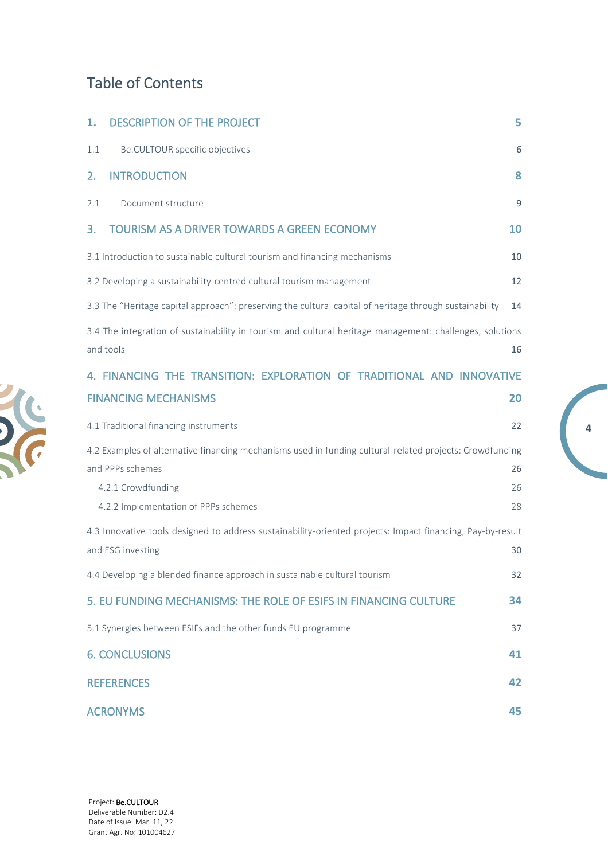## Table of Contents

| 1.              | <b>DESCRIPTION OF THE PROJECT</b>                                                                                                                                                          | 5.             |
|-----------------|--------------------------------------------------------------------------------------------------------------------------------------------------------------------------------------------|----------------|
| 1.1             | Be.CULTOUR specific objectives                                                                                                                                                             | 6              |
| 2.              | <b>INTRODUCTION</b>                                                                                                                                                                        | 8              |
| 2.1             | Document structure                                                                                                                                                                         | 9              |
| 3.              | <b>TOURISM AS A DRIVER TOWARDS A GREEN ECONOMY</b>                                                                                                                                         | <b>10</b>      |
|                 | 3.1 Introduction to sustainable cultural tourism and financing mechanisms                                                                                                                  | 10             |
|                 | 3.2 Developing a sustainability-centred cultural tourism management                                                                                                                        | 12             |
|                 | 3.3 The "Heritage capital approach": preserving the cultural capital of heritage through sustainability                                                                                    | 14             |
| and tools       | 3.4 The integration of sustainability in tourism and cultural heritage management: challenges, solutions                                                                                   | 16             |
|                 | 4. FINANCING THE TRANSITION: EXPLORATION OF TRADITIONAL AND INNOVATIVE                                                                                                                     |                |
|                 | <b>FINANCING MECHANISMS</b>                                                                                                                                                                | 20             |
|                 | 4.1 Traditional financing instruments                                                                                                                                                      | 22             |
|                 | 4.2 Examples of alternative financing mechanisms used in funding cultural-related projects: Crowdfunding<br>and PPPs schemes<br>4.2.1 Crowdfunding<br>4.2.2 Implementation of PPPs schemes | 26<br>26<br>28 |
|                 | 4.3 Innovative tools designed to address sustainability-oriented projects: Impact financing, Pay-by-result<br>and ESG investing                                                            | 30             |
|                 | 4.4 Developing a blended finance approach in sustainable cultural tourism                                                                                                                  | 32             |
|                 | 5. EU FUNDING MECHANISMS: THE ROLE OF ESIFS IN FINANCING CULTURE                                                                                                                           | 34             |
|                 | 5.1 Synergies between ESIFs and the other funds EU programme                                                                                                                               | 37             |
|                 | <b>6. CONCLUSIONS</b>                                                                                                                                                                      | 41             |
|                 | <b>REFERENCES</b>                                                                                                                                                                          | 42             |
| <b>ACRONYMS</b> |                                                                                                                                                                                            | 45             |

**4**

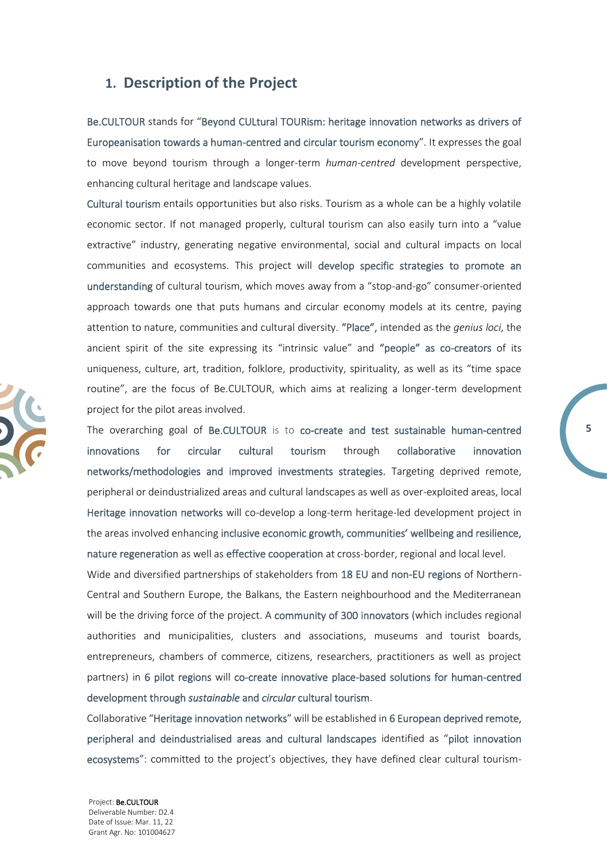### <span id="page-4-0"></span>**1. Description of the Project**

Be.CULTOUR stands for "Beyond CULtural TOURism: heritage innovation networks as drivers of Europeanisation towards a human-centred and circular tourism economy". It expresses the goal to move beyond tourism through a longer-term *human-centred* development perspective, enhancing cultural heritage and landscape values.

Cultural tourism entails opportunities but also risks. Tourism as a whole can be a highly volatile economic sector. If not managed properly, cultural tourism can also easily turn into a "value extractive" industry, generating negative environmental, social and cultural impacts on local communities and ecosystems. This project will develop specific strategies to promote an understanding of cultural tourism, which moves away from a "stop-and-go" consumer-oriented approach towards one that puts humans and circular economy models at its centre, paying attention to nature, communities and cultural diversity. "Place", intended as the *genius loci*, the ancient spirit of the site expressing its "intrinsic value" and "people" as co-creators of its uniqueness, culture, art, tradition, folklore, productivity, spirituality, as well as its "time space routine", are the focus of Be.CULTOUR, which aims at realizing a longer-term development project for the pilot areas involved.

The overarching goal of Be.CULTOUR is to co-create and test sustainable human-centred innovations for circular cultural tourism through collaborative innovation networks/methodologies and improved investments strategies. Targeting deprived remote, peripheral or deindustrialized areas and cultural landscapes as well as over-exploited areas, local Heritage innovation networks will co-develop a long-term heritage-led development project in the areas involved enhancing inclusive economic growth, communities' wellbeing and resilience, nature regeneration as well as effective cooperation at cross-border, regional and local level.

**5**

Wide and diversified partnerships of stakeholders from 18 EU and non-EU regions of Northern-Central and Southern Europe, the Balkans, the Eastern neighbourhood and the Mediterranean will be the driving force of the project. A community of 300 innovators (which includes regional authorities and municipalities, clusters and associations, museums and tourist boards, entrepreneurs, chambers of commerce, citizens, researchers, practitioners as well as project partners) in 6 pilot regions will co-create innovative place-based solutions for human-centred development through *sustainable* and *circular* cultural tourism.

Collaborative "Heritage innovation networks" will be established in 6 European deprived remote, peripheral and deindustrialised areas and cultural landscapes identified as "pilot innovation ecosystems": committed to the project's objectives, they have defined clear cultural tourism-

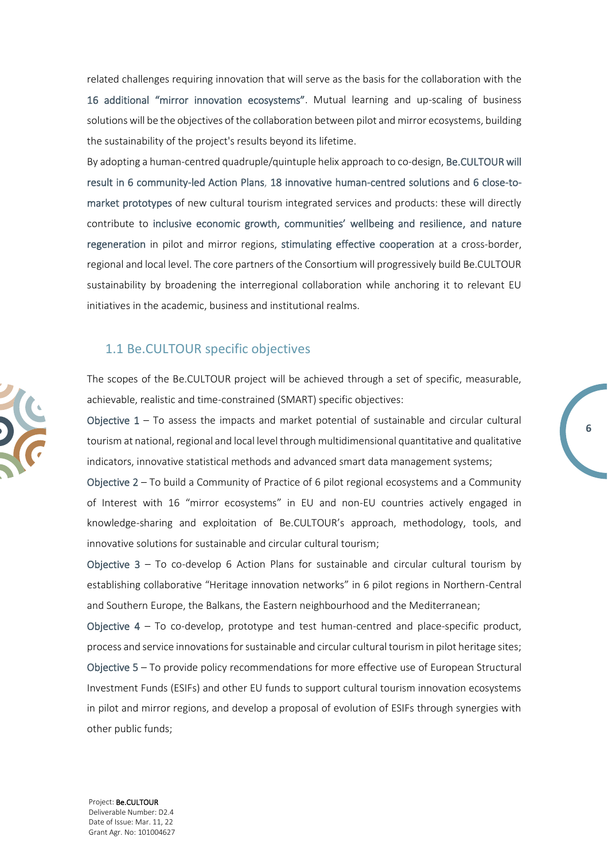related challenges requiring innovation that will serve as the basis for the collaboration with the 16 additional "mirror innovation ecosystems". Mutual learning and up-scaling of business solutions will be the objectives of the collaboration between pilot and mirror ecosystems, building the sustainability of the project's results beyond its lifetime.

By adopting a human-centred quadruple/quintuple helix approach to co-design, Be.CULTOUR will result in 6 community-led Action Plans, 18 innovative human-centred solutions and 6 close-tomarket prototypes of new cultural tourism integrated services and products: these will directly contribute to inclusive economic growth, communities' wellbeing and resilience, and nature regeneration in pilot and mirror regions, stimulating effective cooperation at a cross-border, regional and local level. The core partners of the Consortium will progressively build Be.CULTOUR sustainability by broadening the interregional collaboration while anchoring it to relevant EU initiatives in the academic, business and institutional realms.

#### <span id="page-5-0"></span>1.1 Be.CULTOUR specific objectives

The scopes of the Be.CULTOUR project will be achieved through a set of specific, measurable, achievable, realistic and time-constrained (SMART) specific objectives:

Objective  $1 - To$  assess the impacts and market potential of sustainable and circular cultural tourism at national, regional and local level through multidimensional quantitative and qualitative indicators, innovative statistical methods and advanced smart data management systems;

**6**

Objective 2 – To build a Community of Practice of 6 pilot regional ecosystems and a Community of Interest with 16 "mirror ecosystems" in EU and non-EU countries actively engaged in knowledge-sharing and exploitation of Be.CULTOUR's approach, methodology, tools, and innovative solutions for sustainable and circular cultural tourism;

Objective  $3 - T_0$  co-develop 6 Action Plans for sustainable and circular cultural tourism by establishing collaborative "Heritage innovation networks" in 6 pilot regions in Northern-Central and Southern Europe, the Balkans, the Eastern neighbourhood and the Mediterranean;

Objective  $4 - To$  co-develop, prototype and test human-centred and place-specific product, process and service innovations for sustainable and circular cultural tourism in pilot heritage sites; Objective 5 – To provide policy recommendations for more effective use of European Structural Investment Funds (ESIFs) and other EU funds to support cultural tourism innovation ecosystems in pilot and mirror regions, and develop a proposal of evolution of ESIFs through synergies with other public funds;

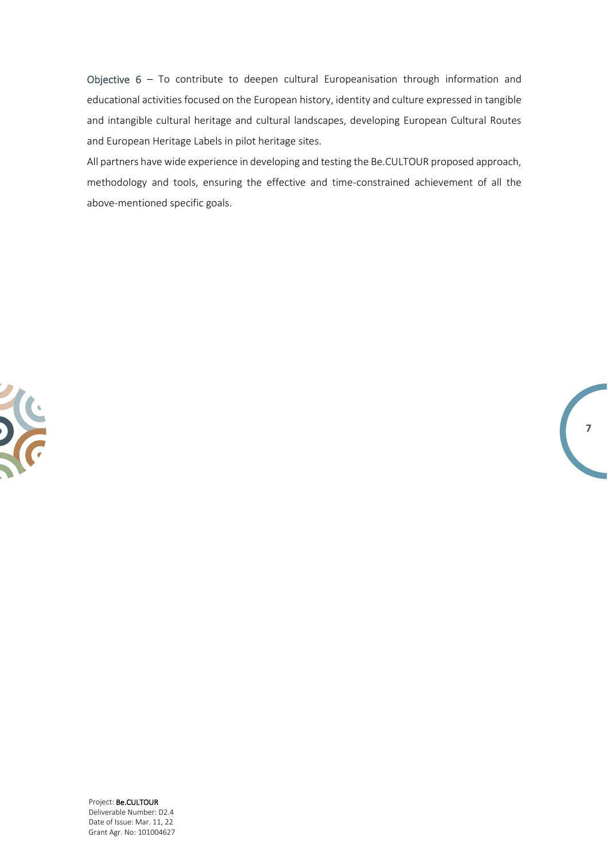Objective 6 – To contribute to deepen cultural Europeanisation through information and educational activities focused on the European history, identity and culture expressed in tangible and intangible cultural heritage and cultural landscapes, developing European Cultural Routes and European Heritage Labels in pilot heritage sites.

All partners have wide experience in developing and testing the Be.CULTOUR proposed approach, methodology and tools, ensuring the effective and time-constrained achievement of all the above-mentioned specific goals.

**7**

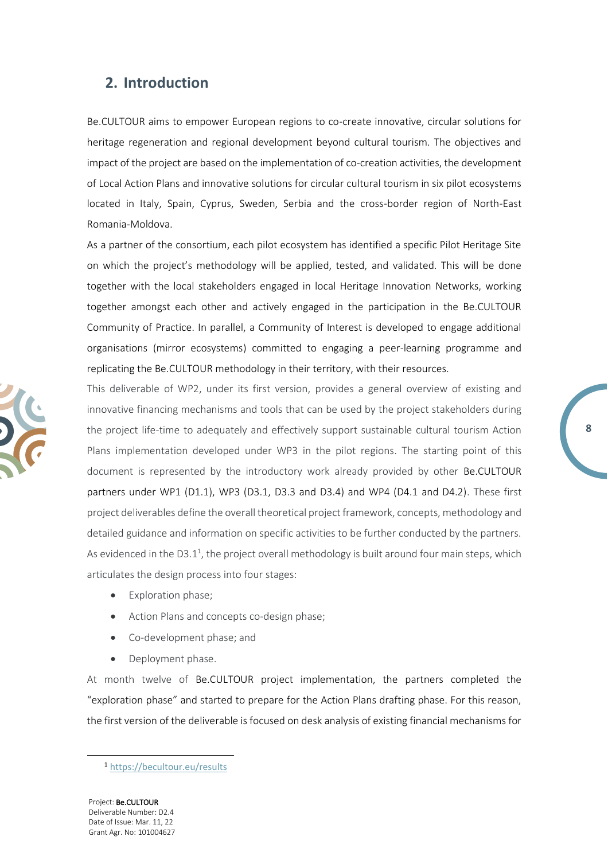### <span id="page-7-0"></span>**2. Introduction**

Be.CULTOUR aims to empower European regions to co-create innovative, circular solutions for heritage regeneration and regional development beyond cultural tourism. The objectives and impact of the project are based on the implementation of co-creation activities, the development of Local Action Plans and innovative solutions for circular cultural tourism in six pilot ecosystems located in Italy, Spain, Cyprus, Sweden, Serbia and the cross-border region of North-East Romania-Moldova.

As a partner of the consortium, each pilot ecosystem has identified a specific Pilot Heritage Site on which the project's methodology will be applied, tested, and validated. This will be done together with the local stakeholders engaged in local Heritage Innovation Networks, working together amongst each other and actively engaged in the participation in the Be.CULTOUR Community of Practice. In parallel, a Community of Interest is developed to engage additional organisations (mirror ecosystems) committed to engaging a peer-learning programme and replicating the Be.CULTOUR methodology in their territory, with their resources.

This deliverable of WP2, under its first version, provides a general overview of existing and innovative financing mechanisms and tools that can be used by the project stakeholders during the project life-time to adequately and effectively support sustainable cultural tourism Action Plans implementation developed under WP3 in the pilot regions. The starting point of this document is represented by the introductory work already provided by other Be.CULTOUR partners under WP1 (D1.1), WP3 (D3.1, D3.3 and D3.4) and WP4 (D4.1 and D4.2). These first project deliverables define the overall theoretical project framework, concepts, methodology and detailed guidance and information on specific activities to be further conducted by the partners. As evidenced in the D3.1<sup>1</sup>, the project overall methodology is built around four main steps, which articulates the design process into four stages:

**8**

- Exploration phase;
- Action Plans and concepts co-design phase;
- Co-development phase; and
- Deployment phase.

At month twelve of Be.CULTOUR project implementation, the partners completed the "exploration phase" and started to prepare for the Action Plans drafting phase. For this reason, the first version of the deliverable is focused on desk analysis of existing financial mechanisms for



<sup>1</sup> <https://becultour.eu/results>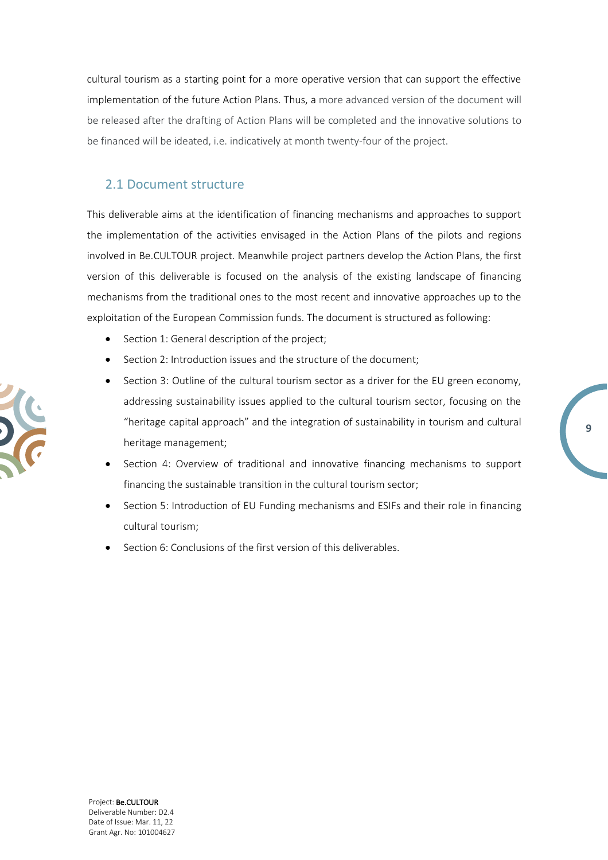cultural tourism as a starting point for a more operative version that can support the effective implementation of the future Action Plans. Thus, a more advanced version of the document will be released after the drafting of Action Plans will be completed and the innovative solutions to be financed will be ideated, i.e. indicatively at month twenty-four of the project.

### <span id="page-8-0"></span>2.1 Document structure

This deliverable aims at the identification of financing mechanisms and approaches to support the implementation of the activities envisaged in the Action Plans of the pilots and regions involved in Be.CULTOUR project. Meanwhile project partners develop the Action Plans, the first version of this deliverable is focused on the analysis of the existing landscape of financing mechanisms from the traditional ones to the most recent and innovative approaches up to the exploitation of the European Commission funds. The document is structured as following:

- Section 1: General description of the project;
- Section 2: Introduction issues and the structure of the document;
- Section 3: Outline of the cultural tourism sector as a driver for the EU green economy, addressing sustainability issues applied to the cultural tourism sector, focusing on the "heritage capital approach" and the integration of sustainability in tourism and cultural heritage management;
- Section 4: Overview of traditional and innovative financing mechanisms to support financing the sustainable transition in the cultural tourism sector;
- Section 5: Introduction of EU Funding mechanisms and ESIFs and their role in financing cultural tourism;
- Section 6: Conclusions of the first version of this deliverables.

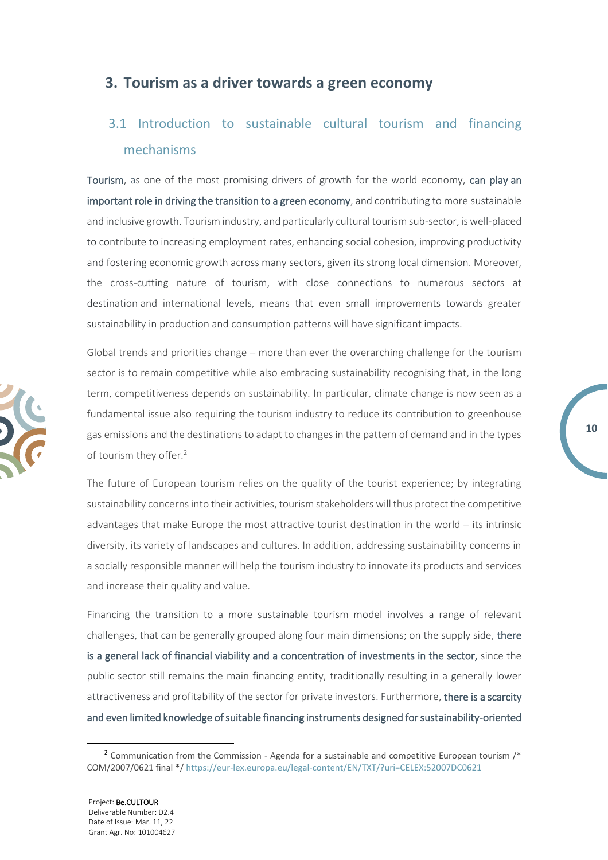### <span id="page-9-0"></span>**3. Tourism as a driver towards a green economy**

## <span id="page-9-1"></span>3.1 Introduction to sustainable cultural tourism and financing mechanisms

Tourism, as one of the most promising drivers of growth for the world economy, can play an important role in driving the transition to a green economy, and contributing to more sustainable and inclusive growth. Tourism industry, and particularly cultural tourism sub-sector, is well-placed to contribute to increasing employment rates, enhancing social cohesion, improving productivity and fostering economic growth across many sectors, given its strong local dimension. Moreover, the cross-cutting nature of tourism, with close connections to numerous sectors at destination and international levels, means that even small improvements towards greater sustainability in production and consumption patterns will have significant impacts.

Global trends and priorities change – more than ever the overarching challenge for the tourism sector is to remain competitive while also embracing sustainability recognising that, in the long term, competitiveness depends on sustainability. In particular, climate change is now seen as a fundamental issue also requiring the tourism industry to reduce its contribution to greenhouse gas emissions and the destinations to adapt to changes in the pattern of demand and in the types of tourism they offer.<sup>2</sup>

The future of European tourism relies on the quality of the tourist experience; by integrating sustainability concerns into their activities, tourism stakeholders will thus protect the competitive advantages that make Europe the most attractive tourist destination in the world – its intrinsic diversity, its variety of landscapes and cultures. In addition, addressing sustainability concerns in a socially responsible manner will help the tourism industry to innovate its products and services and increase their quality and value.

Financing the transition to a more sustainable tourism model involves a range of relevant challenges, that can be generally grouped along four main dimensions; on the supply side, there is a general lack of financial viability and a concentration of investments in the sector, since the public sector still remains the main financing entity, traditionally resulting in a generally lower attractiveness and profitability of the sector for private investors. Furthermore, there is a scarcity and even limited knowledge of suitable financing instruments designed for sustainability-oriented



<sup>&</sup>lt;sup>2</sup> Communication from the Commission - Agenda for a sustainable and competitive European tourism /\* COM/2007/0621 final \*/<https://eur-lex.europa.eu/legal-content/EN/TXT/?uri=CELEX:52007DC0621>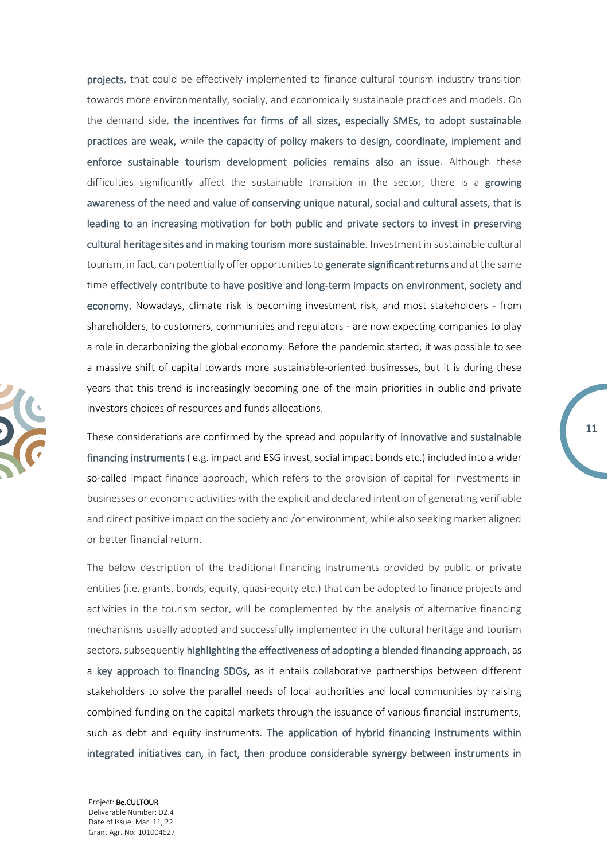projects, that could be effectively implemented to finance cultural tourism industry transition towards more environmentally, socially, and economically sustainable practices and models. On the demand side, the incentives for firms of all sizes, especially SMEs, to adopt sustainable practices are weak, while the capacity of policy makers to design, coordinate, implement and enforce sustainable tourism development policies remains also an issue. Although these difficulties significantly affect the sustainable transition in the sector, there is a growing awareness of the need and value of conserving unique natural, social and cultural assets, that is leading to an increasing motivation for both public and private sectors to invest in preserving cultural heritage sites and in making tourism more sustainable. Investment in sustainable cultural tourism, in fact, can potentially offer opportunities to generate significant returns and at the same time effectively contribute to have positive and long-term impacts on environment, society and economy. Nowadays, climate risk is becoming investment risk, and most stakeholders - from shareholders, to customers, communities and regulators - are now expecting companies to play a role in decarbonizing the global economy. Before the pandemic started, it was possible to see a massive shift of capital towards more sustainable-oriented businesses, but it is during these years that this trend is increasingly becoming one of the main priorities in public and private investors choices of resources and funds allocations.

These considerations are confirmed by the spread and popularity of innovative and sustainable financing instruments ( e.g. impact and ESG invest, social impact bonds etc.) included into a wider so-called impact finance approach, which refers to the provision of capital for investments in businesses or economic activities with the explicit and declared intention of generating verifiable and direct positive impact on the society and /or environment, while also seeking market aligned or better financial return.

**11**

The below description of the traditional financing instruments provided by public or private entities (i.e. grants, bonds, equity, quasi-equity etc.) that can be adopted to finance projects and activities in the tourism sector, will be complemented by the analysis of alternative financing mechanisms usually adopted and successfully implemented in the cultural heritage and tourism sectors, subsequently highlighting the effectiveness of adopting a blended financing approach, as a key approach to financing SDGs, as it entails collaborative partnerships between different stakeholders to solve the parallel needs of local authorities and local communities by raising combined funding on the capital markets through the issuance of various financial instruments, such as debt and equity instruments. The application of hybrid financing instruments within integrated initiatives can, in fact, then produce considerable synergy between instruments in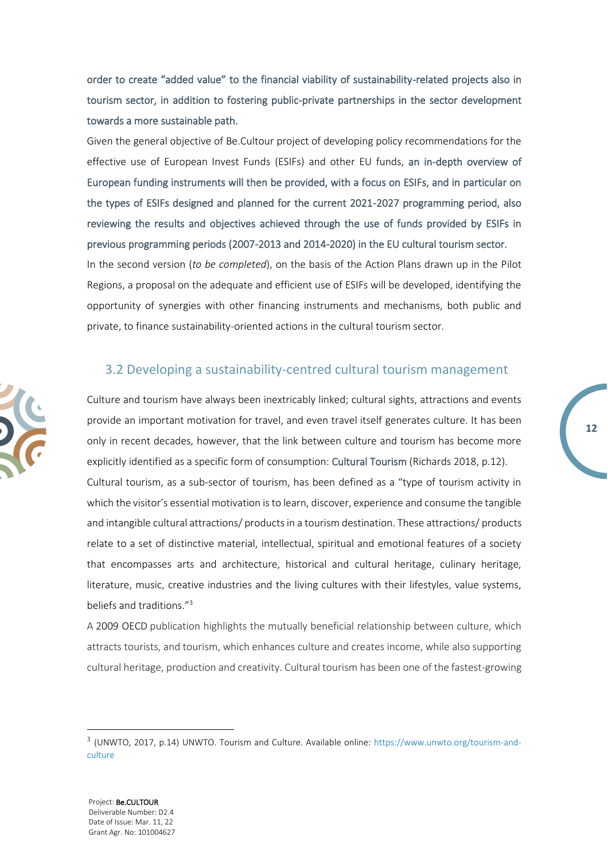order to create "added value" to the financial viability of sustainability-related projects also in tourism sector, in addition to fostering public-private partnerships in the sector development towards a more sustainable path.

Given the general objective of Be.Cultour project of developing policy recommendations for the effective use of European Invest Funds (ESIFs) and other EU funds, an in-depth overview of European funding instruments will then be provided, with a focus on ESIFs, and in particular on the types of ESIFs designed and planned for the current 2021-2027 programming period, also reviewing the results and objectives achieved through the use of funds provided by ESIFs in previous programming periods (2007-2013 and 2014-2020) in the EU cultural tourism sector.

In the second version (*to be completed*), on the basis of the Action Plans drawn up in the Pilot Regions, a proposal on the adequate and efficient use of ESIFs will be developed, identifying the opportunity of synergies with other financing instruments and mechanisms, both public and private, to finance sustainability-oriented actions in the cultural tourism sector.

### <span id="page-11-0"></span>3.2 Developing a sustainability-centred cultural tourism management

Culture and tourism have always been inextricably linked; cultural sights, attractions and events provide an important motivation for travel, and even travel itself generates culture. It has been only in recent decades, however, that the link between culture and tourism has become more explicitly identified as a specific form of consumption: Cultural Tourism (Richards 2018, p.12). Cultural tourism, as a sub-sector of tourism, has been defined as a "type of tourism activity in which the visitor's essential motivation is to learn, discover, experience and consume the tangible and intangible cultural attractions/ products in a tourism destination. These attractions/ products relate to a set of distinctive material, intellectual, spiritual and emotional features of a society that encompasses arts and architecture, historical and cultural heritage, culinary heritage, literature, music, creative industries and the living cultures with their lifestyles, value systems, beliefs and traditions."<sup>3</sup>

A 2009 [OECD](https://www.oecd-ilibrary.org/docserver/9789264040731-en.pdf?expires=1591780989&id=id&accname=ocid194994&checksum=B7D3FFF9D426A489571A2A82866B6973) publication highlights the mutually beneficial relationship between culture, which attracts tourists, and tourism, which enhances culture and creates income, while also supporting cultural heritage, production and creativity. Cultural tourism has been one of the fastest-growing



<sup>&</sup>lt;sup>3</sup> (UNWTO, 2017, p.14) UNWTO. Tourism and Culture. Available online: https://www.unwto.org/tourism-andculture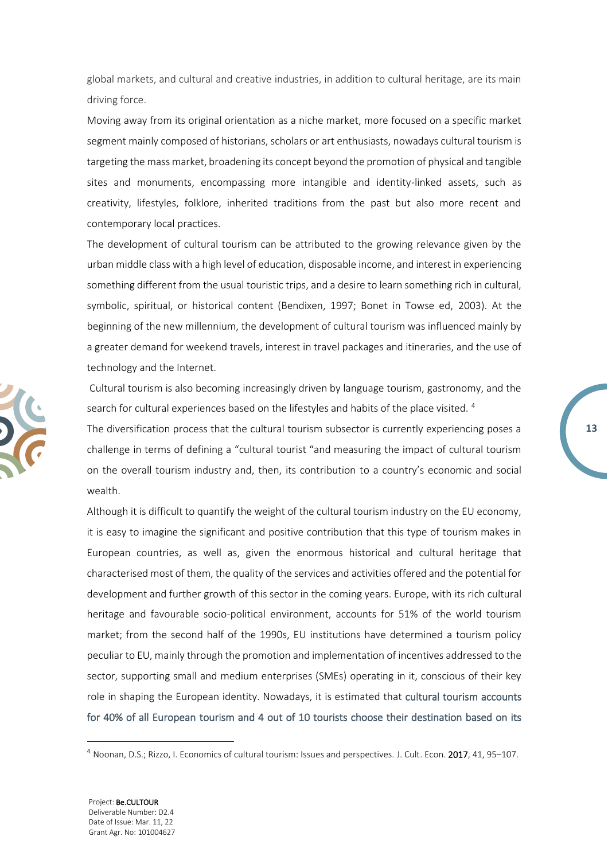global markets, and cultural and creative industries, in addition to cultural heritage, are its main driving force.

Moving away from its original orientation as a niche market, more focused on a specific market segment mainly composed of historians, scholars or art enthusiasts, nowadays cultural tourism is targeting the mass market, broadening its concept beyond the promotion of physical and tangible sites and monuments, encompassing more intangible and identity-linked assets, such as creativity, lifestyles, folklore, inherited traditions from the past but also more recent and contemporary local practices.

The development of cultural tourism can be attributed to the growing relevance given by the urban middle class with a high level of education, disposable income, and interest in experiencing something different from the usual touristic trips, and a desire to learn something rich in cultural, symbolic, spiritual, or historical content (Bendixen, 1997; Bonet in Towse ed, 2003). At the beginning of the new millennium, the development of cultural tourism was influenced mainly by a greater demand for weekend travels, interest in travel packages and itineraries, and the use of technology and the Internet.

Cultural tourism is also becoming increasingly driven by language tourism, gastronomy, and the search for cultural experiences based on the lifestyles and habits of the place visited.  $4$ 

**13**

The diversification process that the cultural tourism subsector is currently experiencing poses a challenge in terms of defining a "cultural tourist "and measuring the impact of cultural tourism on the overall tourism industry and, then, its contribution to a country's economic and social wealth.

Although it is difficult to quantify the weight of the cultural tourism industry on the EU economy, it is easy to imagine the significant and positive contribution that this type of tourism makes in European countries, as well as, given the enormous historical and cultural heritage that characterised most of them, the quality of the services and activities offered and the potential for development and further growth of this sector in the coming years. Europe, with its rich cultural heritage and favourable socio-political environment, accounts for 51% of the world tourism market; from the second half of the 1990s, EU institutions have determined a tourism policy peculiar to EU, mainly through the promotion and implementation of incentives addressed to the sector, supporting small and medium enterprises (SMEs) operating in it, conscious of their key role in shaping the European identity. Nowadays, it is estimated that cultural tourism accounts for 40% of all European tourism and 4 out of 10 tourists choose their destination based on its



<sup>&</sup>lt;sup>4</sup> Noonan, D.S.; Rizzo, I. Economics of cultural tourism: Issues and perspectives. J. Cult. Econ. 2017, 41, 95–107.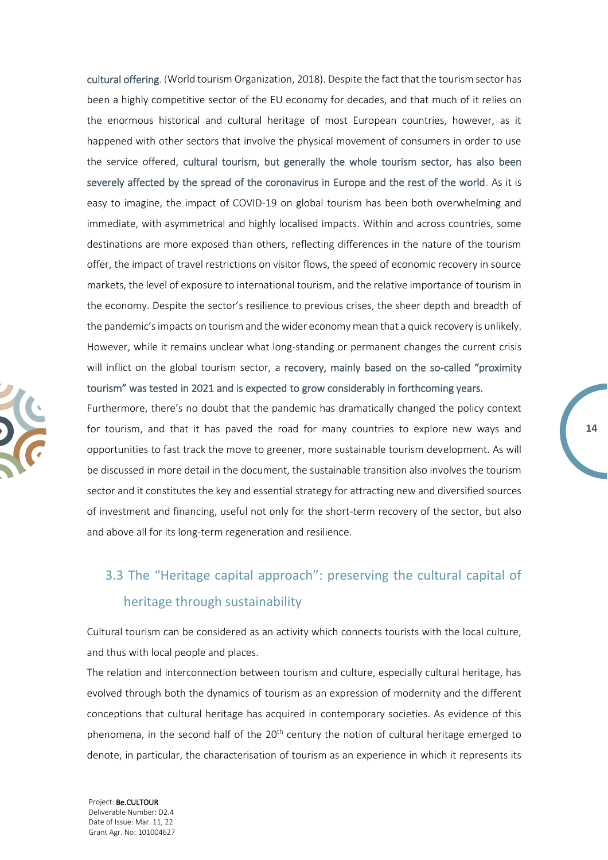cultural offering. (World tourism Organization, 2018). Despite the fact that the tourism sector has been a highly competitive sector of the EU economy for decades, and that much of it relies on the enormous historical and cultural heritage of most European countries, however, as it happened with other sectors that involve the physical movement of consumers in order to use the service offered, cultural tourism, but generally the whole tourism sector, has also been severely affected by the spread of the coronavirus in Europe and the rest of the world. As it is easy to imagine, the impact of COVID-19 on global tourism has been both overwhelming and immediate, with asymmetrical and highly localised impacts. Within and across countries, some destinations are more exposed than others, reflecting differences in the nature of the tourism offer, the impact of travel restrictions on visitor flows, the speed of economic recovery in source markets, the level of exposure to international tourism, and the relative importance of tourism in the economy. Despite the sector's resilience to previous crises, the sheer depth and breadth of the pandemic's impacts on tourism and the wider economy mean that a quick recovery is unlikely. However, while it remains unclear what long-standing or permanent changes the current crisis will inflict on the global tourism sector, a recovery, mainly based on the so-called "proximity tourism" was tested in 2021 and is expected to grow considerably in forthcoming years.

Furthermore, there's no doubt that the pandemic has dramatically changed the policy context for tourism, and that it has paved the road for many countries to explore new ways and opportunities to fast track the move to greener, more sustainable tourism development. As will be discussed in more detail in the document, the sustainable transition also involves the tourism sector and it constitutes the key and essential strategy for attracting new and diversified sources of investment and financing, useful not only for the short-term recovery of the sector, but also and above all for its long-term regeneration and resilience.

**14**

## <span id="page-13-0"></span>3.3 The "Heritage capital approach": preserving the cultural capital of heritage through sustainability

Cultural tourism can be considered as an activity which connects tourists with the local culture, and thus with local people and places.

The relation and interconnection between tourism and culture, especially cultural heritage, has evolved through both the dynamics of tourism as an expression of modernity and the different conceptions that cultural heritage has acquired in contemporary societies. As evidence of this phenomena, in the second half of the 20<sup>th</sup> century the notion of cultural heritage emerged to denote, in particular, the characterisation of tourism as an experience in which it represents its

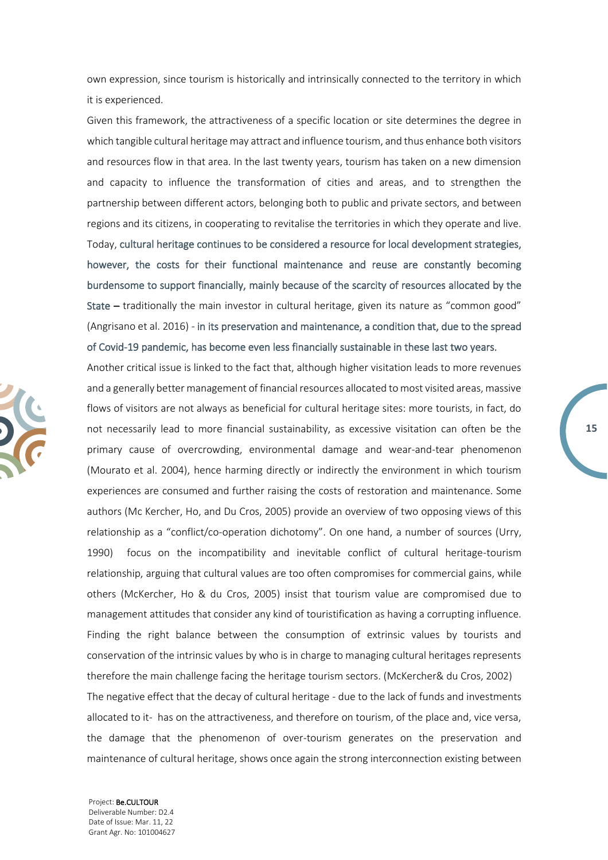own expression, since tourism is historically and intrinsically connected to the territory in which it is experienced.

Given this framework, the attractiveness of a specific location or site determines the degree in which tangible cultural heritage may attract and influence tourism, and thus enhance both visitors and resources flow in that area. In the last twenty years, tourism has taken on a new dimension and capacity to influence the transformation of cities and areas, and to strengthen the partnership between different actors, belonging both to public and private sectors, and between regions and its citizens, in cooperating to revitalise the territories in which they operate and live. Today, cultural heritage continues to be considered a resource for local development strategies, however, the costs for their functional maintenance and reuse are constantly becoming burdensome to support financially, mainly because of the scarcity of resources allocated by the State – traditionally the main investor in cultural heritage, given its nature as "common good" (Angrisano et al. 2016) - in its preservation and maintenance, a condition that, due to the spread of Covid-19 pandemic, has become even less financially sustainable in these last two years.

Another critical issue is linked to the fact that, although higher visitation leads to more revenues and a generally better management of financial resources allocated to most visited areas, massive flows of visitors are not always as beneficial for cultural heritage sites: more tourists, in fact, do not necessarily lead to more financial sustainability, as excessive visitation can often be the primary cause of overcrowding, environmental damage and wear-and-tear phenomenon (Mourato et al. 2004), hence harming directly or indirectly the environment in which tourism experiences are consumed and further raising the costs of restoration and maintenance. Some authors (Mc Kercher, Ho, and Du Cros, 2005) provide an overview of two opposing views of this relationship as a "conflict/co-operation dichotomy". On one hand, a number of sources (Urry, 1990) focus on the incompatibility and inevitable conflict of cultural heritage-tourism relationship, arguing that cultural values are too often compromises for commercial gains, while others (McKercher, Ho & du Cros, 2005) insist that tourism value are compromised due to management attitudes that consider any kind of touristification as having a corrupting influence. Finding the right balance between the consumption of extrinsic values by tourists and conservation of the intrinsic values by who is in charge to managing cultural heritages represents therefore the main challenge facing the heritage tourism sectors. (McKercher& du Cros, 2002) The negative effect that the decay of cultural heritage - due to the lack of funds and investments allocated to it- has on the attractiveness, and therefore on tourism, of the place and, vice versa, the damage that the phenomenon of over-tourism generates on the preservation and maintenance of cultural heritage, shows once again the strong interconnection existing between

**15**

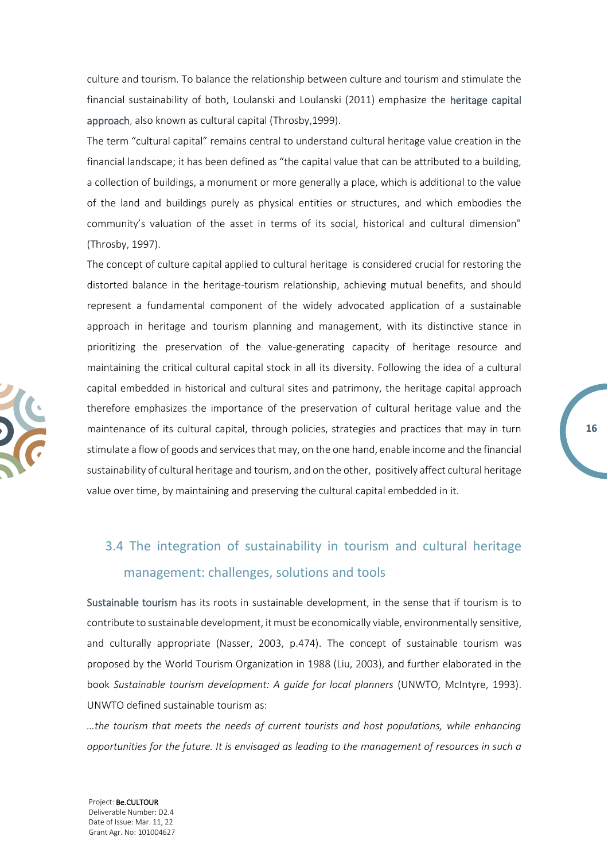culture and tourism. To balance the relationship between culture and tourism and stimulate the financial sustainability of both, Loulanski and Loulanski (2011) emphasize the heritage capital approach, also known as cultural capital (Throsby,1999).

The term "cultural capital" remains central to understand cultural heritage value creation in the financial landscape; it has been defined as "the capital value that can be attributed to a building, a collection of buildings, a monument or more generally a place, which is additional to the value of the land and buildings purely as physical entities or structures, and which embodies the community's valuation of the asset in terms of its social, historical and cultural dimension" (Throsby, 1997).

The concept of culture capital applied to cultural heritage is considered crucial for restoring the distorted balance in the heritage-tourism relationship, achieving mutual benefits, and should represent a fundamental component of the widely advocated application of a sustainable approach in heritage and tourism planning and management, with its distinctive stance in prioritizing the preservation of the value-generating capacity of heritage resource and maintaining the critical cultural capital stock in all its diversity. Following the idea of a cultural capital embedded in historical and cultural sites and patrimony, the heritage capital approach therefore emphasizes the importance of the preservation of cultural heritage value and the maintenance of its cultural capital, through policies, strategies and practices that may in turn stimulate a flow of goods and services that may, on the one hand, enable income and the financial sustainability of cultural heritage and tourism, and on the other, positively affect cultural heritage value over time, by maintaining and preserving the cultural capital embedded in it.

**16**

## <span id="page-15-0"></span>3.4 The integration of sustainability in tourism and cultural heritage management: challenges, solutions and tools

Sustainable tourism has its roots in sustainable development, in the sense that if tourism is to contribute to sustainable development, it must be economically viable, environmentally sensitive, and culturally appropriate (Nasser, 2003, p.474). The concept of sustainable tourism was proposed by the World Tourism Organization in 1988 (Liu, 2003), and further elaborated in the book *Sustainable tourism development: A guide for local planners* (UNWTO, McIntyre, 1993). UNWTO defined sustainable tourism as:

*…the tourism that meets the needs of current tourists and host populations, while enhancing opportunities for the future. It is envisaged as leading to the management of resources in such a* 

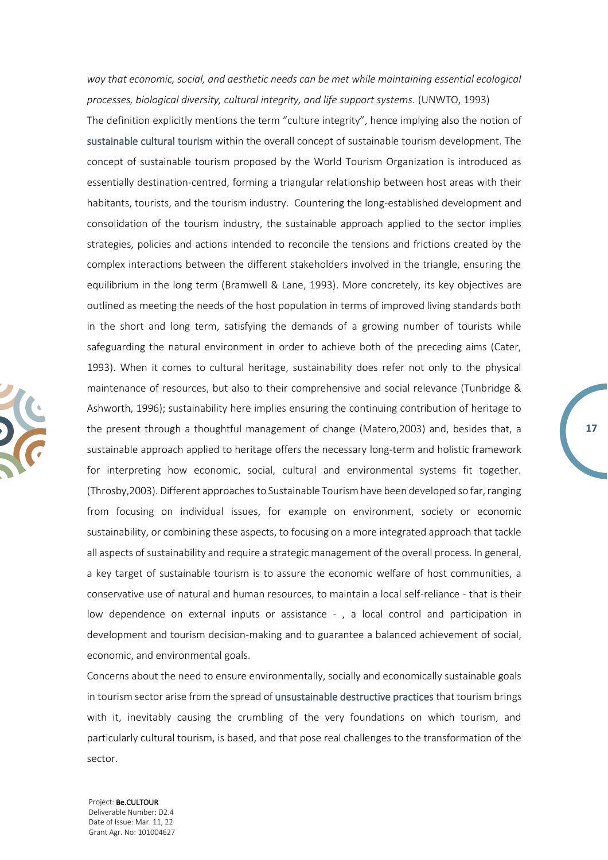way that economic, social, and aesthetic needs can be met while maintaining essential ecological *processes, biological diversity, cultural integrity, and life support systems.* (UNWTO, 1993)

The definition explicitly mentions the term "culture integrity", hence implying also the notion of sustainable cultural tourism within the overall concept of sustainable tourism development. The concept of sustainable tourism proposed by the World Tourism Organization is introduced as essentially destination-centred, forming a triangular relationship between host areas with their habitants, tourists, and the tourism industry. Countering the long-established development and consolidation of the tourism industry, the sustainable approach applied to the sector implies strategies, policies and actions intended to reconcile the tensions and frictions created by the complex interactions between the different stakeholders involved in the triangle, ensuring the equilibrium in the long term (Bramwell & Lane, 1993). More concretely, its key objectives are outlined as meeting the needs of the host population in terms of improved living standards both in the short and long term, satisfying the demands of a growing number of tourists while safeguarding the natural environment in order to achieve both of the preceding aims (Cater, 1993). When it comes to cultural heritage, sustainability does refer not only to the physical maintenance of resources, but also to their comprehensive and social relevance (Tunbridge & Ashworth, 1996); sustainability here implies ensuring the continuing contribution of heritage to the present through a thoughtful management of change (Matero,2003) and, besides that, a sustainable approach applied to heritage offers the necessary long-term and holistic framework for interpreting how economic, social, cultural and environmental systems fit together. (Throsby,2003). Different approaches to Sustainable Tourism have been developed so far, ranging from focusing on individual issues, for example on environment, society or economic sustainability, or combining these aspects, to focusing on a more integrated approach that tackle all aspects of sustainability and require a strategic management of the overall process. In general, a key target of sustainable tourism is to assure the economic welfare of host communities, a conservative use of natural and human resources, to maintain a local self-reliance - that is their low dependence on external inputs or assistance - , a local control and participation in development and tourism decision-making and to guarantee a balanced achievement of social, economic, and environmental goals.

**17**

Concerns about the need to ensure environmentally, socially and economically sustainable goals in tourism sector arise from the spread of unsustainable destructive practices that tourism brings with it, inevitably causing the crumbling of the very foundations on which tourism, and particularly cultural tourism, is based, and that pose real challenges to the transformation of the sector.

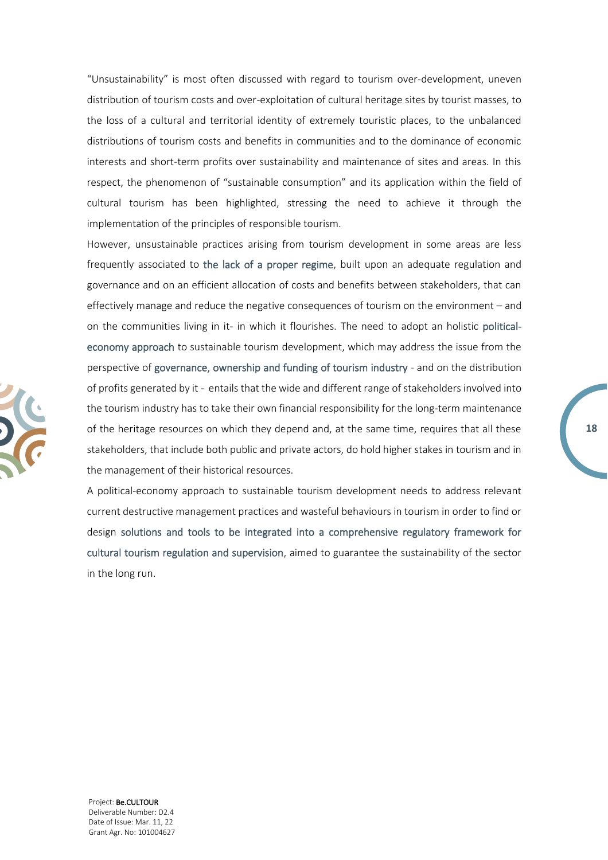"Unsustainability" is most often discussed with regard to tourism over-development, uneven distribution of tourism costs and over-exploitation of cultural heritage sites by tourist masses, to the loss of a cultural and territorial identity of extremely touristic places, to the unbalanced distributions of tourism costs and benefits in communities and to the dominance of economic interests and short-term profits over sustainability and maintenance of sites and areas. In this respect, the phenomenon of "sustainable consumption" and its application within the field of cultural tourism has been highlighted, stressing the need to achieve it through the implementation of the principles of responsible tourism.

However, unsustainable practices arising from tourism development in some areas are less frequently associated to the lack of a proper regime, built upon an adequate regulation and governance and on an efficient allocation of costs and benefits between stakeholders, that can effectively manage and reduce the negative consequences of tourism on the environment – and on the communities living in it- in which it flourishes. The need to adopt an holistic politicaleconomy approach to sustainable tourism development, which may address the issue from the perspective of governance, ownership and funding of tourism industry - and on the distribution of profits generated by it - entails that the wide and different range of stakeholders involved into the tourism industry has to take their own financial responsibility for the long-term maintenance of the heritage resources on which they depend and, at the same time, requires that all these stakeholders, that include both public and private actors, do hold higher stakes in tourism and in the management of their historical resources.

**18**

A political-economy approach to sustainable tourism development needs to address relevant current destructive management practices and wasteful behaviours in tourism in order to find or design solutions and tools to be integrated into a comprehensive regulatory framework for cultural tourism regulation and supervision, aimed to guarantee the sustainability of the sector in the long run.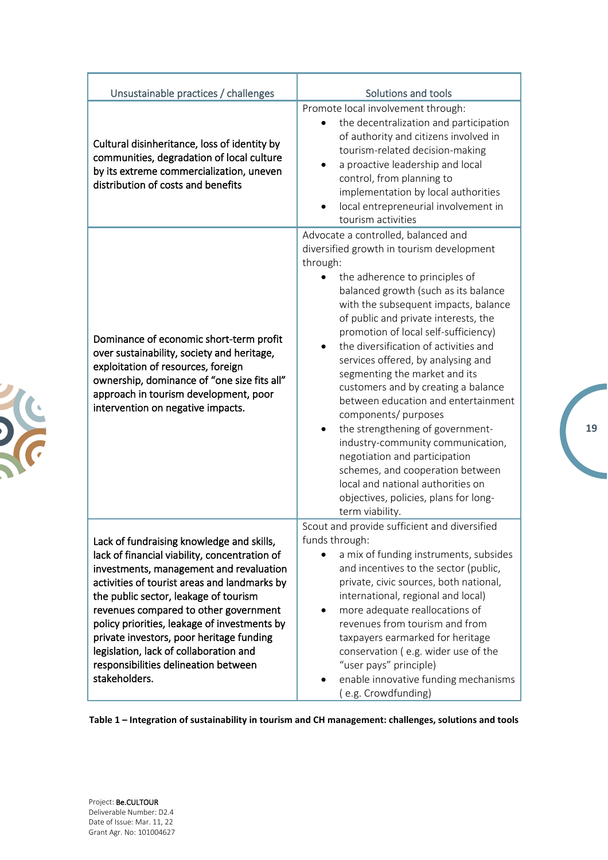| Unsustainable practices / challenges                                                                                                                                                                                                                                                                                                                                                                                                                                   | Solutions and tools                                                                                                                                                                                                                                                                                                                                                                                                                                                                                                                                                                                                                                                                                                                                                 |
|------------------------------------------------------------------------------------------------------------------------------------------------------------------------------------------------------------------------------------------------------------------------------------------------------------------------------------------------------------------------------------------------------------------------------------------------------------------------|---------------------------------------------------------------------------------------------------------------------------------------------------------------------------------------------------------------------------------------------------------------------------------------------------------------------------------------------------------------------------------------------------------------------------------------------------------------------------------------------------------------------------------------------------------------------------------------------------------------------------------------------------------------------------------------------------------------------------------------------------------------------|
| Cultural disinheritance, loss of identity by<br>communities, degradation of local culture<br>by its extreme commercialization, uneven<br>distribution of costs and benefits                                                                                                                                                                                                                                                                                            | Promote local involvement through:<br>the decentralization and participation<br>of authority and citizens involved in<br>tourism-related decision-making<br>a proactive leadership and local<br>control, from planning to<br>implementation by local authorities<br>local entrepreneurial involvement in<br>tourism activities                                                                                                                                                                                                                                                                                                                                                                                                                                      |
| Dominance of economic short-term profit<br>over sustainability, society and heritage,<br>exploitation of resources, foreign<br>ownership, dominance of "one size fits all"<br>approach in tourism development, poor<br>intervention on negative impacts.                                                                                                                                                                                                               | Advocate a controlled, balanced and<br>diversified growth in tourism development<br>through:<br>the adherence to principles of<br>balanced growth (such as its balance<br>with the subsequent impacts, balance<br>of public and private interests, the<br>promotion of local self-sufficiency)<br>the diversification of activities and<br>services offered, by analysing and<br>segmenting the market and its<br>customers and by creating a balance<br>between education and entertainment<br>components/ purposes<br>the strengthening of government-<br>industry-community communication,<br>negotiation and participation<br>schemes, and cooperation between<br>local and national authorities on<br>objectives, policies, plans for long-<br>term viability. |
| Lack of fundraising knowledge and skills,<br>lack of financial viability, concentration of<br>investments, management and revaluation<br>activities of tourist areas and landmarks by<br>the public sector, leakage of tourism<br>revenues compared to other government<br>policy priorities, leakage of investments by<br>private investors, poor heritage funding<br>legislation, lack of collaboration and<br>responsibilities delineation between<br>stakeholders. | Scout and provide sufficient and diversified<br>funds through:<br>a mix of funding instruments, subsides<br>and incentives to the sector (public,<br>private, civic sources, both national,<br>international, regional and local)<br>more adequate reallocations of<br>revenues from tourism and from<br>taxpayers earmarked for heritage<br>conservation (e.g. wider use of the<br>"user pays" principle)<br>enable innovative funding mechanisms<br>(e.g. Crowdfunding)                                                                                                                                                                                                                                                                                           |

**Table 1 – Integration of sustainability in tourism and CH management: challenges, solutions and tools**

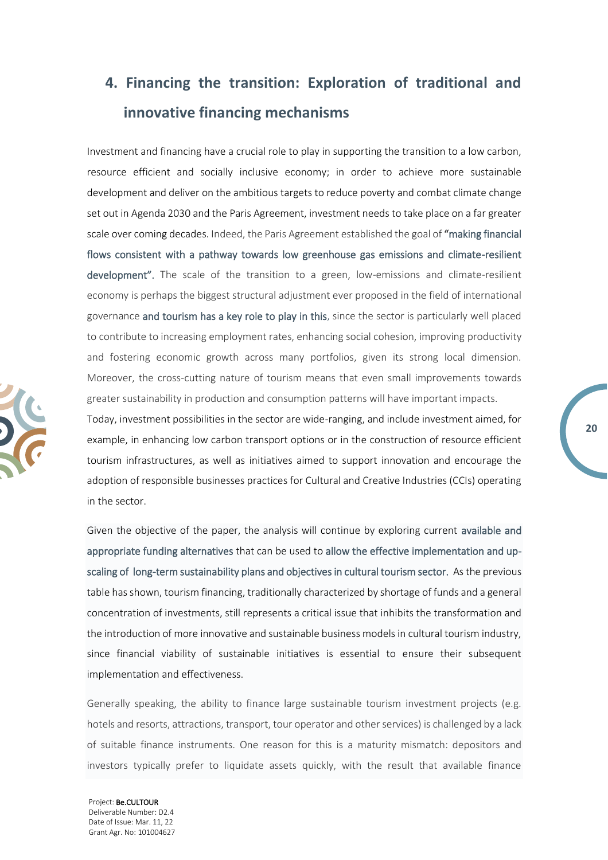# <span id="page-19-0"></span>**4. Financing the transition: Exploration of traditional and innovative financing mechanisms**

Investment and financing have a crucial role to play in supporting the transition to a low carbon, resource efficient and socially inclusive economy; in order to achieve more sustainable development and deliver on the ambitious targets to reduce poverty and combat climate change set out in Agenda 2030 and the Paris Agreement, investment needs to take place on a far greater scale over coming decades. Indeed, the Paris Agreement established the goal of "making financial flows consistent with a pathway towards low greenhouse gas emissions and climate-resilient development". The scale of the transition to a green, low-emissions and climate-resilient economy is perhaps the biggest structural adjustment ever proposed in the field of international governance and tourism has a key role to play in this, since the sector is particularly well placed to contribute to increasing employment rates, enhancing social cohesion, improving productivity and fostering economic growth across many portfolios, given its strong local dimension. Moreover, the cross-cutting nature of tourism means that even small improvements towards greater sustainability in production and consumption patterns will have important impacts.

Today, investment possibilities in the sector are wide-ranging, and include investment aimed, for example, in enhancing low carbon transport options or in the construction of resource efficient tourism infrastructures, as well as initiatives aimed to support innovation and encourage the adoption of responsible businesses practices for Cultural and Creative Industries (CCIs) operating in the sector.

Given the objective of the paper, the analysis will continue by exploring current available and appropriate funding alternatives that can be used to allow the effective implementation and upscaling of long-term sustainability plans and objectives in cultural tourism sector. As the previous table has shown, tourism financing, traditionally characterized by shortage of funds and a general concentration of investments, still represents a critical issue that inhibits the transformation and the introduction of more innovative and sustainable business models in cultural tourism industry, since financial viability of sustainable initiatives is essential to ensure their subsequent implementation and effectiveness.

Generally speaking, the ability to finance large sustainable tourism investment projects (e.g. hotels and resorts, attractions, transport, tour operator and other services) is challenged by a lack of suitable finance instruments. One reason for this is a maturity mismatch: depositors and investors typically prefer to liquidate assets quickly, with the result that available finance

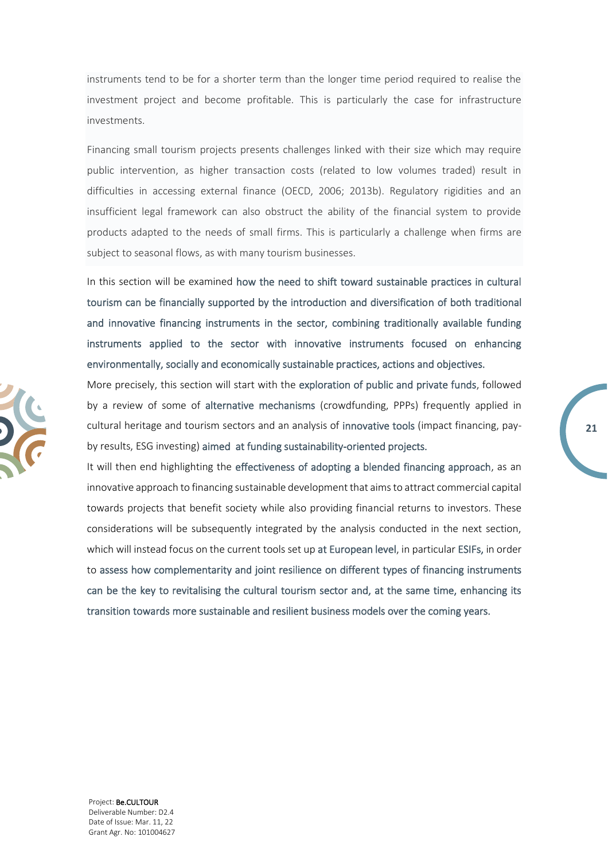instruments tend to be for a shorter term than the longer time period required to realise the investment project and become profitable. This is particularly the case for infrastructure investments.

Financing small tourism projects presents challenges linked with their size which may require public intervention, as higher transaction costs (related to low volumes traded) result in difficulties in accessing external finance (OECD, 2006; 2013b). Regulatory rigidities and an insufficient legal framework can also obstruct the ability of the financial system to provide products adapted to the needs of small firms. This is particularly a challenge when firms are subject to seasonal flows, as with many tourism businesses.

In this section will be examined how the need to shift toward sustainable practices in cultural tourism can be financially supported by the introduction and diversification of both traditional and innovative financing instruments in the sector, combining traditionally available funding instruments applied to the sector with innovative instruments focused on enhancing environmentally, socially and economically sustainable practices, actions and objectives.

More precisely, this section will start with the exploration of public and private funds, followed by a review of some of alternative mechanisms (crowdfunding, PPPs) frequently applied in cultural heritage and tourism sectors and an analysis of innovative tools (impact financing, payby results, ESG investing) aimed at funding sustainability-oriented projects.

It will then end highlighting the effectiveness of adopting a blended financing approach, as an innovative approach to financing sustainable development that aims to attract commercial capital towards projects that benefit society while also providing financial returns to investors. These considerations will be subsequently integrated by the analysis conducted in the next section, which will instead focus on the current tools set up at European level, in particular ESIFs, in order to assess how complementarity and joint resilience on different types of financing instruments can be the key to revitalising the cultural tourism sector and, at the same time, enhancing its transition towards more sustainable and resilient business models over the coming years.



Project: Be.CULTOUR Deliverable Number: D2.4 Date of Issue: Mar. 11, 22 Grant Agr. No: 101004627 **21**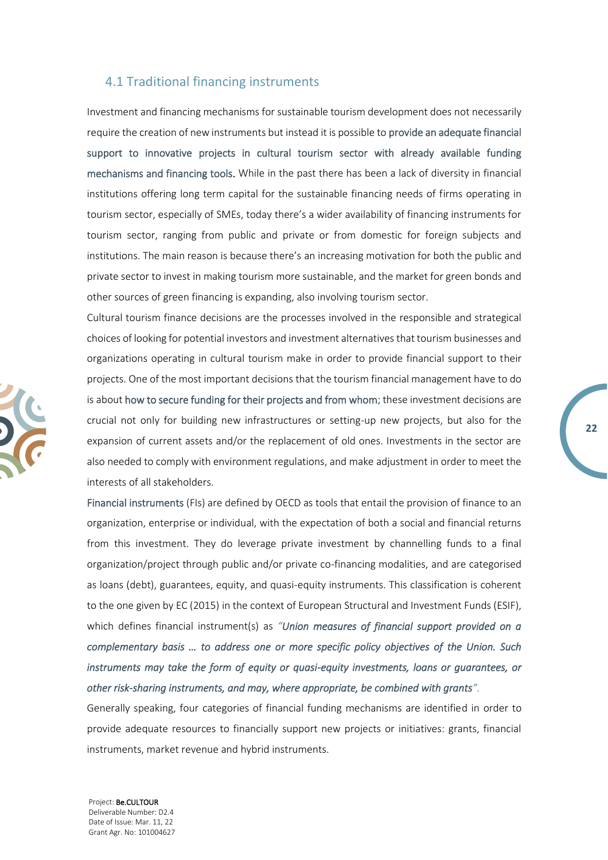### <span id="page-21-0"></span>4.1 Traditional financing instruments

Investment and financing mechanisms for sustainable tourism development does not necessarily require the creation of new instruments but instead it is possible to provide an adequate financial support to innovative projects in cultural tourism sector with already available funding mechanisms and financing tools. While in the past there has been a lack of diversity in financial institutions offering long term capital for the sustainable financing needs of firms operating in tourism sector, especially of SMEs, today there's a wider availability of financing instruments for tourism sector, ranging from public and private or from domestic for foreign subjects and institutions. The main reason is because there's an increasing motivation for both the public and private sector to invest in making tourism more sustainable, and the market for green bonds and other sources of green financing is expanding, also involving tourism sector.

Cultural tourism finance decisions are the processes involved in the responsible and strategical choices of looking for potential investors and investment alternatives that tourism businesses and organizations operating in cultural tourism make in order to provide financial support to their projects. One of the most important decisions that the tourism financial management have to do is about how to secure funding for their projects and from whom; these investment decisions are crucial not only for building new infrastructures or setting-up new projects, but also for the expansion of current assets and/or the replacement of old ones. Investments in the sector are also needed to comply with environment regulations, and make adjustment in order to meet the interests of all stakeholders.

**22**

Financial instruments (FIs) are defined by OECD as tools that entail the provision of finance to an organization, enterprise or individual, with the expectation of both a social and financial returns from this investment. They do leverage private investment by channelling funds to a final organization/project through public and/or private co-financing modalities, and are categorised as loans (debt), guarantees, equity, and quasi-equity instruments. This classification is coherent to the one given by EC (2015) in the context of European Structural and Investment Funds (ESIF), which defines financial instrument(s) as *"Union measures of financial support provided on a complementary basis … to address one or more specific policy objectives of the Union. Such instruments may take the form of equity or quasi-equity investments, loans or guarantees, or other risk-sharing instruments, and may, where appropriate, be combined with grants".* 

Generally speaking, four categories of financial funding mechanisms are identified in order to provide adequate resources to financially support new projects or initiatives: grants, financial instruments, market revenue and hybrid instruments.

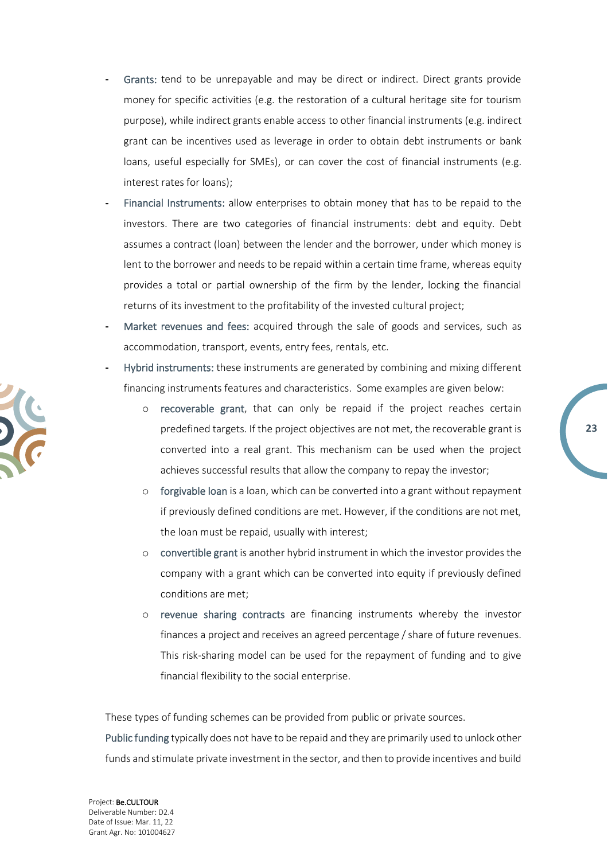- **-** Grants: tend to be unrepayable and may be direct or indirect. Direct grants provide money for specific activities (e.g. the restoration of a cultural heritage site for tourism purpose), while indirect grants enable access to other financial instruments (e.g. indirect grant can be incentives used as leverage in order to obtain debt instruments or bank loans, useful especially for SMEs), or can cover the cost of financial instruments (e.g. interest rates for loans);
- **-** Financial Instruments: allow enterprises to obtain money that has to be repaid to the investors. There are two categories of financial instruments: debt and equity. Debt assumes a contract (loan) between the lender and the borrower, under which money is lent to the borrower and needs to be repaid within a certain time frame, whereas equity provides a total or partial ownership of the firm by the lender, locking the financial returns of its investment to the profitability of the invested cultural project;
- **-** Market revenues and fees: acquired through the sale of goods and services, such as accommodation, transport, events, entry fees, rentals, etc.
- **-** Hybrid instruments: these instruments are generated by combining and mixing different financing instruments features and characteristics. Some examples are given below:
	- o recoverable grant, that can only be repaid if the project reaches certain predefined targets. If the project objectives are not met, the recoverable grant is converted into a real grant. This mechanism can be used when the project achieves successful results that allow the company to repay the investor;

**23**

- o forgivable loan is a loan, which can be converted into a grant without repayment if previously defined conditions are met. However, if the conditions are not met, the loan must be repaid, usually with interest;
- o convertible grant is another hybrid instrument in which the investor provides the company with a grant which can be converted into equity if previously defined conditions are met;
- o revenue sharing contracts are financing instruments whereby the investor finances a project and receives an agreed percentage / share of future revenues. This risk-sharing model can be used for the repayment of funding and to give financial flexibility to the social enterprise.

These types of funding schemes can be provided from public or private sources.

Public funding typically does not have to be repaid and they are primarily used to unlock other funds and stimulate private investment in the sector, and then to provide incentives and build

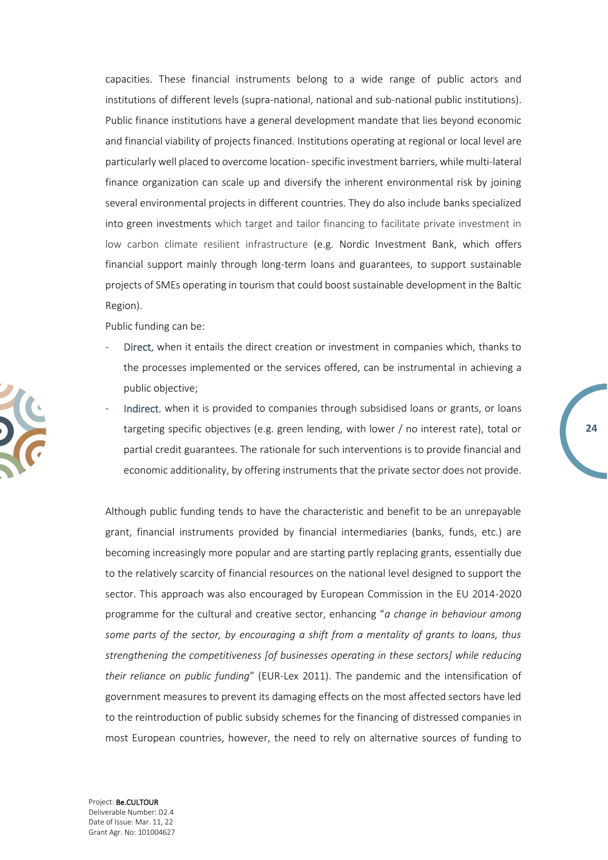capacities. These financial instruments belong to a wide range of public actors and institutions of different levels (supra-national, national and sub-national public institutions). Public finance institutions have a general development mandate that lies beyond economic and financial viability of projects financed. Institutions operating at regional or local level are particularly well placed to overcome location-specific investment barriers, while multi-lateral finance organization can scale up and diversify the inherent environmental risk by joining several environmental projects in different countries. They do also include banks specialized into green investments which target and tailor financing to facilitate private investment in low carbon climate resilient infrastructure (e.g. Nordic Investment Bank, which offers financial support mainly through long-term loans and guarantees, to support sustainable projects of SMEs operating in tourism that could boost sustainable development in the Baltic Region).

Public funding can be:

- Direct, when it entails the direct creation or investment in companies which, thanks to the processes implemented or the services offered, can be instrumental in achieving a public objective;
- Indirect, when it is provided to companies through subsidised loans or grants, or loans targeting specific objectives (e.g. green lending, with lower / no interest rate), total or partial credit guarantees. The rationale for such interventions is to provide financial and economic additionality, by offering instruments that the private sector does not provide.

**24**

Although public funding tends to have the characteristic and benefit to be an unrepayable grant, financial instruments provided by financial intermediaries (banks, funds, etc.) are becoming increasingly more popular and are starting partly replacing grants, essentially due to the relatively scarcity of financial resources on the national level designed to support the sector. This approach was also encouraged by European Commission in the EU 2014-2020 programme for the cultural and creative sector, enhancing "*a change in behaviour among some parts of the sector, by encouraging a shift from a mentality of grants to loans, thus strengthening the competitiveness [of businesses operating in these sectors] while reducing their reliance on public funding*" (EUR-Lex 2011). The pandemic and the intensification of government measures to prevent its damaging effects on the most affected sectors have led to the reintroduction of public subsidy schemes for the financing of distressed companies in most European countries, however, the need to rely on alternative sources of funding to

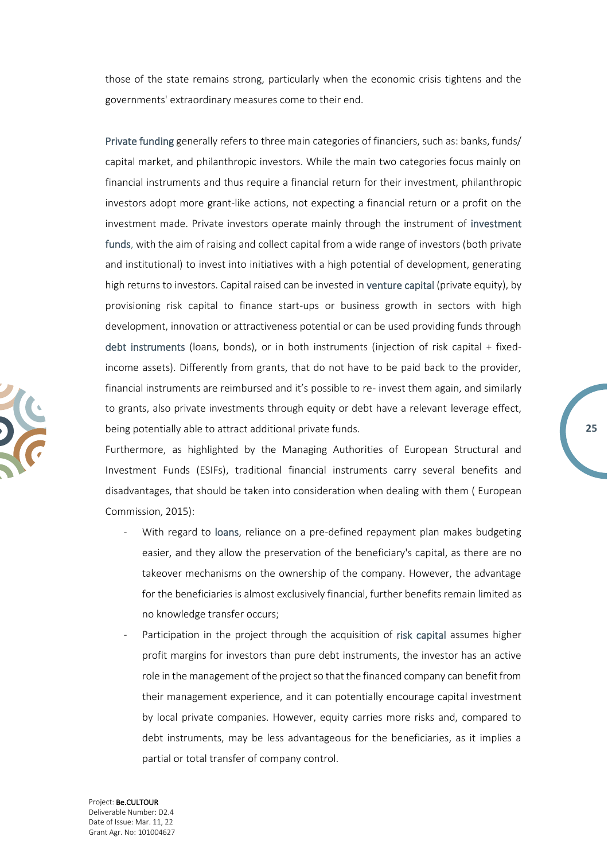those of the state remains strong, particularly when the economic crisis tightens and the governments' extraordinary measures come to their end.

Private funding generally refers to three main categories of financiers, such as: banks, funds/ capital market, and philanthropic investors. While the main two categories focus mainly on financial instruments and thus require a financial return for their investment, philanthropic investors adopt more grant-like actions, not expecting a financial return or a profit on the investment made. Private investors operate mainly through the instrument of investment funds, with the aim of raising and collect capital from a wide range of investors (both private and institutional) to invest into initiatives with a high potential of development, generating high returns to investors. Capital raised can be invested in venture capital (private equity), by provisioning risk capital to finance start-ups or business growth in sectors with high development, innovation or attractiveness potential or can be used providing funds through debt instruments (loans, bonds), or in both instruments (injection of risk capital + fixedincome assets). Differently from grants, that do not have to be paid back to the provider, financial instruments are reimbursed and it's possible to re- invest them again, and similarly to grants, also private investments through equity or debt have a relevant leverage effect, being potentially able to attract additional private funds.

Furthermore, as highlighted by the Managing Authorities of European Structural and Investment Funds (ESIFs), traditional financial instruments carry several benefits and disadvantages, that should be taken into consideration when dealing with them ( European Commission, 2015):

- With regard to loans, reliance on a pre-defined repayment plan makes budgeting easier, and they allow the preservation of the beneficiary's capital, as there are no takeover mechanisms on the ownership of the company. However, the advantage for the beneficiaries is almost exclusively financial, further benefits remain limited as no knowledge transfer occurs;
- Participation in the project through the acquisition of risk capital assumes higher profit margins for investors than pure debt instruments, the investor has an active role in the management of the project so that the financed company can benefit from their management experience, and it can potentially encourage capital investment by local private companies. However, equity carries more risks and, compared to debt instruments, may be less advantageous for the beneficiaries, as it implies a partial or total transfer of company control.

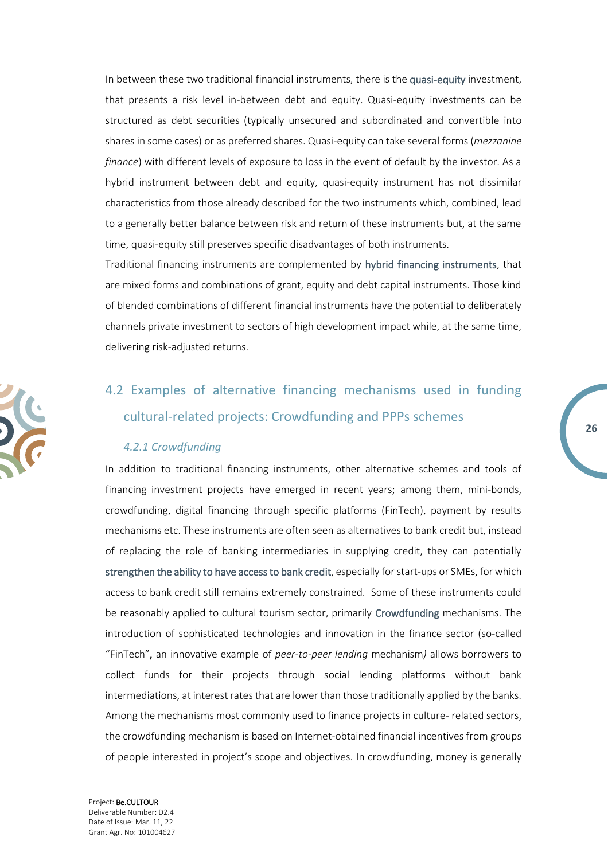In between these two traditional financial instruments, there is the quasi-equity investment, that presents a risk level in-between debt and equity. Quasi-equity investments can be structured as debt securities (typically unsecured and subordinated and convertible into shares in some cases) or as preferred shares. Quasi-equity can take several forms (*mezzanine finance*) with different levels of exposure to loss in the event of default by the investor. As a hybrid instrument between debt and equity, quasi-equity instrument has not dissimilar characteristics from those already described for the two instruments which, combined, lead to a generally better balance between risk and return of these instruments but, at the same time, quasi-equity still preserves specific disadvantages of both instruments.

Traditional financing instruments are complemented by hybrid financing instruments, that are mixed forms and combinations of grant, equity and debt capital instruments. Those kind of blended combinations of different financial instruments have the potential to deliberately channels private investment to sectors of high development impact while, at the same time, delivering risk-adjusted returns.

## <span id="page-25-0"></span>4.2 [Examples of alternative financing mechanisms used in funding](#page-27-1)  [cultural-related projects: Crowdfunding and PPPs schemes](#page-27-1)

#### *4.2.1 Crowdfunding*

<span id="page-25-1"></span>In addition to traditional financing instruments, other alternative schemes and tools of financing investment projects have emerged in recent years; among them, mini-bonds, crowdfunding, digital financing through specific platforms (FinTech), payment by results mechanisms etc. These instruments are often seen as alternatives to bank credit but, instead of replacing the role of banking intermediaries in supplying credit, they can potentially strengthen the ability to have access to bank credit, especially for start-ups or SMEs, for which access to bank credit still remains extremely constrained. Some of these instruments could be reasonably applied to cultural tourism sector, primarily Crowdfunding mechanisms. The introduction of sophisticated technologies and innovation in the finance sector (so-called "FinTech", an innovative example of *peer-to-peer lending* mechanism*)* allows borrowers to collect funds for their projects through social lending platforms without bank intermediations, at interest rates that are lower than those traditionally applied by the banks. Among the mechanisms most commonly used to finance projects in culture- related sectors, the crowdfunding mechanism is based on Internet-obtained financial incentives from groups of people interested in project's scope and objectives. In crowdfunding, money is generally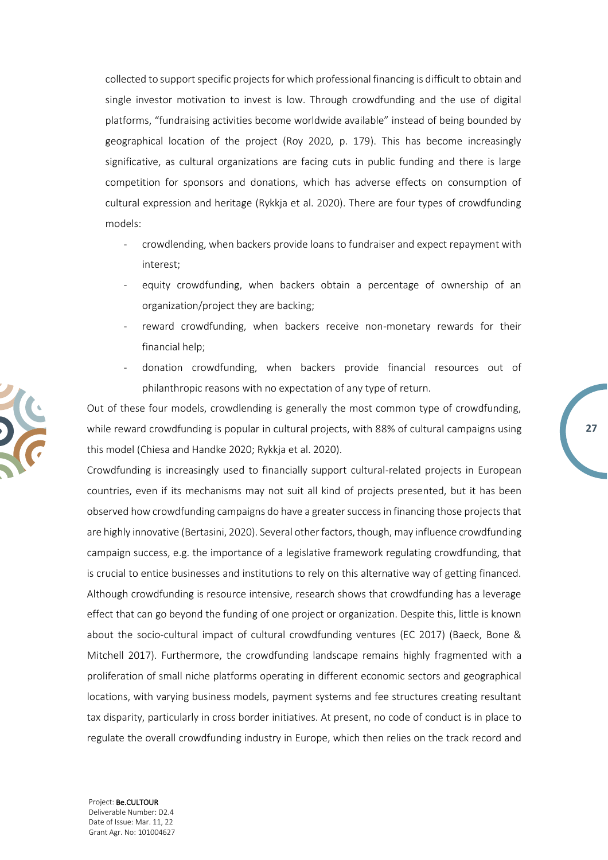collected to support specific projects for which professional financing is difficult to obtain and single investor motivation to invest is low. Through crowdfunding and the use of digital platforms, "fundraising activities become worldwide available" instead of being bounded by geographical location of the project (Roy 2020, p. 179). This has become increasingly significative, as cultural organizations are facing cuts in public funding and there is large competition for sponsors and donations, which has adverse effects on consumption of cultural expression and heritage (Rykkja et al. 2020). There are four types of crowdfunding models:

- crowdlending, when backers provide loans to fundraiser and expect repayment with interest;
- equity crowdfunding, when backers obtain a percentage of ownership of an organization/project they are backing;
- reward crowdfunding, when backers receive non-monetary rewards for their financial help;
- donation crowdfunding, when backers provide financial resources out of philanthropic reasons with no expectation of any type of return.

**27**

Out of these four models, crowdlending is generally the most common type of crowdfunding, while reward crowdfunding is popular in cultural projects, with 88% of cultural campaigns using this model (Chiesa and Handke 2020; Rykkja et al. 2020).

Crowdfunding is increasingly used to financially support cultural-related projects in European countries, even if its mechanisms may not suit all kind of projects presented, but it has been observed how crowdfunding campaigns do have a greater success in financing those projects that are highly innovative (Bertasini, 2020). Several other factors, though, may influence crowdfunding campaign success, e.g. the importance of a legislative framework regulating crowdfunding, that is crucial to entice businesses and institutions to rely on this alternative way of getting financed. Although crowdfunding is resource intensive, research shows that crowdfunding has a leverage effect that can go beyond the funding of one project or organization. Despite this, little is known about the socio-cultural impact of cultural crowdfunding ventures (EC 2017) (Baeck, Bone & Mitchell 2017). Furthermore, the crowdfunding landscape remains highly fragmented with a proliferation of small niche platforms operating in different economic sectors and geographical locations, with varying business models, payment systems and fee structures creating resultant tax disparity, particularly in cross border initiatives. At present, no code of conduct is in place to regulate the overall crowdfunding industry in Europe, which then relies on the track record and

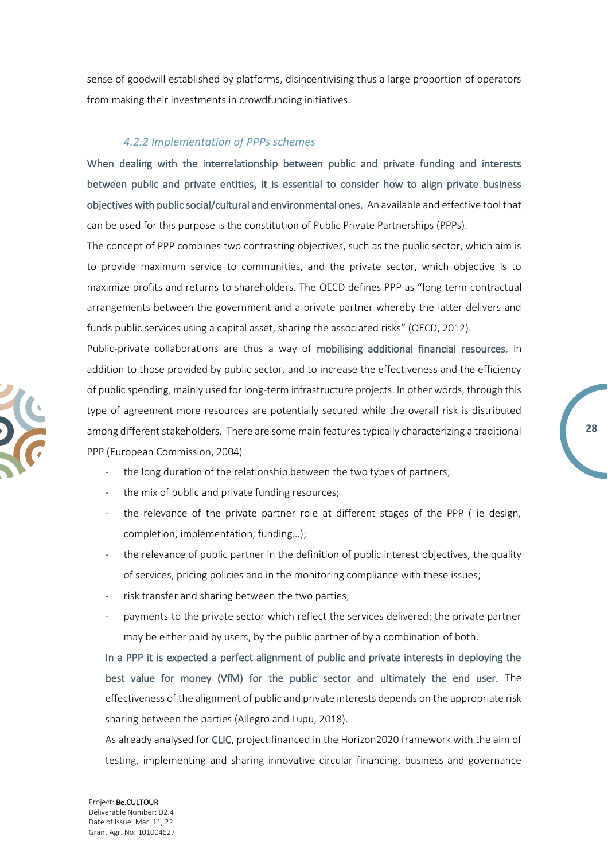sense of goodwill established by platforms, disincentivising thus a large proportion of operators from making their investments in crowdfunding initiatives.

#### <span id="page-27-1"></span>*4.2.2 Implementation of PPPs schemes*

<span id="page-27-0"></span>When dealing with the interrelationship between public and private funding and interests between public and private entities, it is essential to consider how to align private business objectives with public social/cultural and environmental ones. An available and effective tool that can be used for this purpose is the constitution of Public Private Partnerships (PPPs).

The concept of PPP combines two contrasting objectives, such as the public sector, which aim is to provide maximum service to communities, and the private sector, which objective is to maximize profits and returns to shareholders. The OECD defines PPP as "long term contractual arrangements between the government and a private partner whereby the latter delivers and funds public services using a capital asset, sharing the associated risks" (OECD, 2012).

Public-private collaborations are thus a way of mobilising additional financial resources, in addition to those provided by public sector, and to increase the effectiveness and the efficiency of public spending, mainly used for long-term infrastructure projects. In other words, through this type of agreement more resources are potentially secured while the overall risk is distributed among different stakeholders. There are some main features typically characterizing a traditional PPP (European Commission, 2004):

**28**

- the long duration of the relationship between the two types of partners;
- the mix of public and private funding resources;
- the relevance of the private partner role at different stages of the PPP ( ie design, completion, implementation, funding…);
- the relevance of public partner in the definition of public interest objectives, the quality of services, pricing policies and in the monitoring compliance with these issues;
- risk transfer and sharing between the two parties;
- payments to the private sector which reflect the services delivered: the private partner may be either paid by users, by the public partner of by a combination of both.

In a PPP it is expected a perfect alignment of public and private interests in deploying the best value for money (VfM) for the public sector and ultimately the end user. The effectiveness of the alignment of public and private interests depends on the appropriate risk sharing between the parties (Allegro and Lupu, 2018).

As already analysed for CLIC, project financed in the Horizon2020 framework with the aim of testing, implementing and sharing innovative circular financing, business and governance

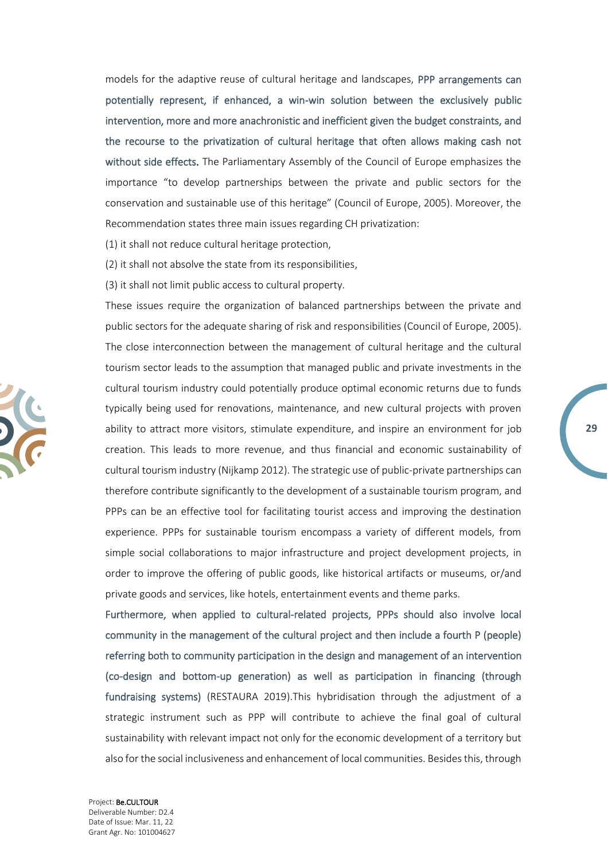models for the adaptive reuse of cultural heritage and landscapes, PPP arrangements can potentially represent, if enhanced, a win-win solution between the exclusively public intervention, more and more anachronistic and inefficient given the budget constraints, and the recourse to the privatization of cultural heritage that often allows making cash not without side effects. The Parliamentary Assembly of the Council of Europe emphasizes the importance "to develop partnerships between the private and public sectors for the conservation and sustainable use of this heritage" (Council of Europe, 2005). Moreover, the Recommendation states three main issues regarding CH privatization:

(1) it shall not reduce cultural heritage protection,

(2) it shall not absolve the state from its responsibilities,

(3) it shall not limit public access to cultural property.

These issues require the organization of balanced partnerships between the private and public sectors for the adequate sharing of risk and responsibilities (Council of Europe, 2005). The close interconnection between the management of cultural heritage and the cultural tourism sector leads to the assumption that managed public and private investments in the cultural tourism industry could potentially produce optimal economic returns due to funds typically being used for renovations, maintenance, and new cultural projects with proven ability to attract more visitors, stimulate expenditure, and inspire an environment for job creation. This leads to more revenue, and thus financial and economic sustainability of cultural tourism industry (Nijkamp 2012). The strategic use of public-private partnerships can therefore contribute significantly to the development of a sustainable tourism program, and PPPs can be an effective tool for facilitating tourist access and improving the destination experience. PPPs for sustainable tourism encompass a variety of different models, from simple social collaborations to major infrastructure and project development projects, in order to improve the offering of public goods, like historical artifacts or museums, or/and private goods and services, like hotels, entertainment events and theme parks.

**29**

Furthermore, when applied to cultural-related projects, PPPs should also involve local community in the management of the cultural project and then include a fourth P (people) referring both to community participation in the design and management of an intervention (co-design and bottom-up generation) as well as participation in financing (through fundraising systems) (RESTAURA 2019).This hybridisation through the adjustment of a strategic instrument such as PPP will contribute to achieve the final goal of cultural sustainability with relevant impact not only for the economic development of a territory but also for the social inclusiveness and enhancement of local communities. Besides this, through

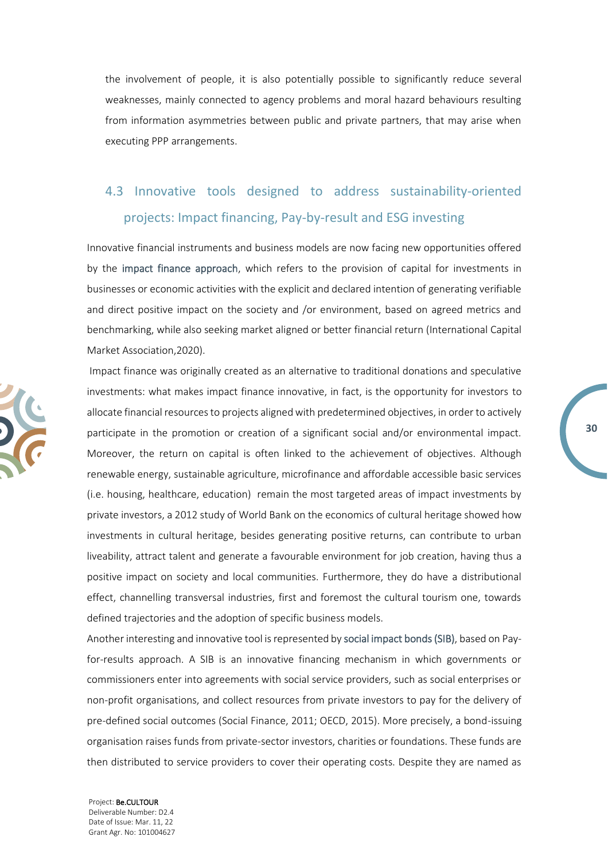the involvement of people, it is also potentially possible to significantly reduce several weaknesses, mainly connected to agency problems and moral hazard behaviours resulting from information asymmetries between public and private partners, that may arise when executing PPP arrangements.

## <span id="page-29-0"></span>4.3 Innovative tools designed to address sustainability-oriented projects: Impact financing, Pay-by-result and ESG investing

Innovative financial instruments and business models are now facing new opportunities offered by the impact finance approach, which refers to the provision of capital for investments in businesses or economic activities with the explicit and declared intention of generating verifiable and direct positive impact on the society and /or environment, based on agreed metrics and benchmarking, while also seeking market aligned or better financial return (International Capital Market Association,2020).

Impact finance was originally created as an alternative to traditional donations and speculative investments: what makes impact finance innovative, in fact, is the opportunity for investors to allocate financial resources to projects aligned with predetermined objectives, in order to actively participate in the promotion or creation of a significant social and/or environmental impact. Moreover, the return on capital is often linked to the achievement of objectives. Although renewable energy, sustainable agriculture, microfinance and affordable accessible basic services (i.e. housing, healthcare, education) remain the most targeted areas of impact investments by private investors, a 2012 study of World Bank on the economics of cultural heritage showed how investments in cultural heritage, besides generating positive returns, can contribute to urban liveability, attract talent and generate a favourable environment for job creation, having thus a positive impact on society and local communities. Furthermore, they do have a distributional effect, channelling transversal industries, first and foremost the cultural tourism one, towards defined trajectories and the adoption of specific business models.

**30**

Another interesting and innovative tool is represented by social impact bonds (SIB), based on Payfor-results approach. A SIB is an innovative financing mechanism in which governments or commissioners enter into agreements with social service providers, such as social enterprises or non-profit organisations, and collect resources from private investors to pay for the delivery of pre-defined social outcomes (Social Finance, 2011; OECD, 2015). More precisely, a bond-issuing organisation raises funds from private-sector investors, charities or foundations. These funds are then distributed to service providers to cover their operating costs. Despite they are named as

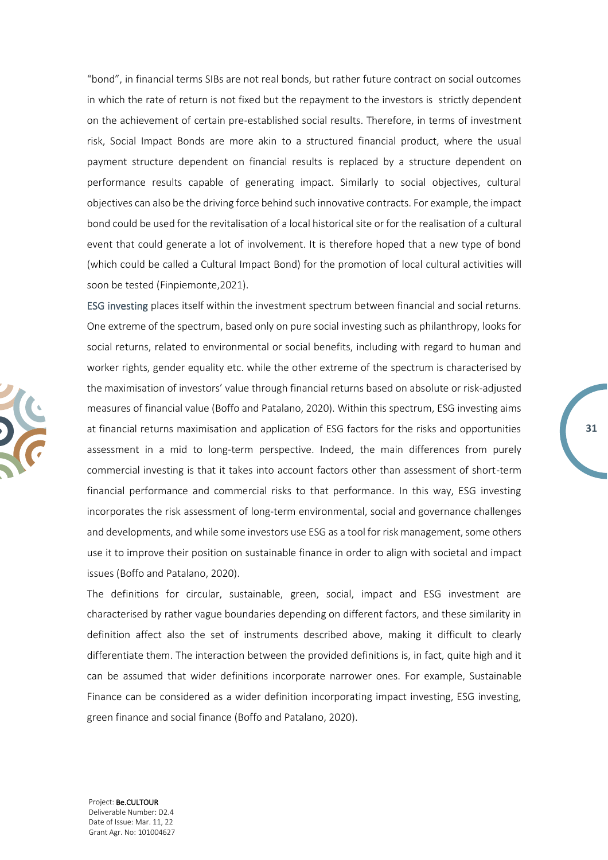"bond", in financial terms SIBs are not real bonds, but rather future contract on social outcomes in which the rate of return is not fixed but the repayment to the investors is strictly dependent on the achievement of certain pre-established social results. Therefore, in terms of investment risk, Social Impact Bonds are more akin to a structured financial product, where the usual payment structure dependent on financial results is replaced by a structure dependent on performance results capable of generating impact. Similarly to social objectives, cultural objectives can also be the driving force behind such innovative contracts. For example, the impact bond could be used for the revitalisation of a local historical site or for the realisation of a cultural event that could generate a lot of involvement. It is therefore hoped that a new type of bond (which could be called a Cultural Impact Bond) for the promotion of local cultural activities will soon be tested (Finpiemonte,2021).

ESG investing places itself within the investment spectrum between financial and social returns. One extreme of the spectrum, based only on pure social investing such as philanthropy, looks for social returns, related to environmental or social benefits, including with regard to human and worker rights, gender equality etc. while the other extreme of the spectrum is characterised by the maximisation of investors' value through financial returns based on absolute or risk-adjusted measures of financial value (Boffo and Patalano, 2020). Within this spectrum, ESG investing aims at financial returns maximisation and application of ESG factors for the risks and opportunities assessment in a mid to long-term perspective. Indeed, the main differences from purely commercial investing is that it takes into account factors other than assessment of short-term financial performance and commercial risks to that performance. In this way, ESG investing incorporates the risk assessment of long-term environmental, social and governance challenges and developments, and while some investors use ESG as a tool for risk management, some others use it to improve their position on sustainable finance in order to align with societal and impact issues (Boffo and Patalano, 2020).

**31**

The definitions for circular, sustainable, green, social, impact and ESG investment are characterised by rather vague boundaries depending on different factors, and these similarity in definition affect also the set of instruments described above, making it difficult to clearly differentiate them. The interaction between the provided definitions is, in fact, quite high and it can be assumed that wider definitions incorporate narrower ones. For example, Sustainable Finance can be considered as a wider definition incorporating impact investing, ESG investing, green finance and social finance (Boffo and Patalano, 2020).

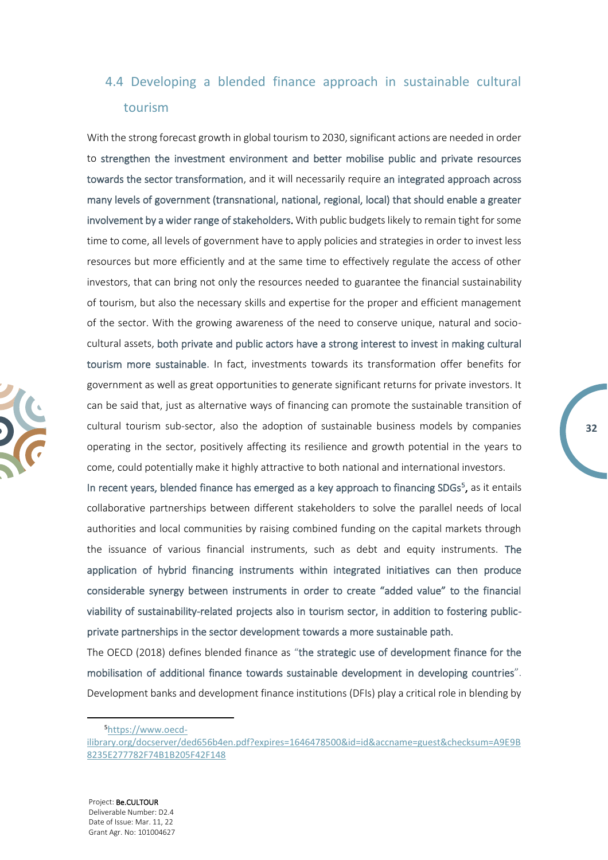## <span id="page-31-0"></span>4.4 Developing a blended finance approach in sustainable cultural tourism

With the strong forecast growth in global tourism to 2030, significant actions are needed in order to strengthen the investment environment and better mobilise public and private resources towards the sector transformation, and it will necessarily require an integrated approach across many levels of government (transnational, national, regional, local) that should enable a greater involvement by a wider range of stakeholders. With public budgets likely to remain tight for some time to come, all levels of government have to apply policies and strategies in order to invest less resources but more efficiently and at the same time to effectively regulate the access of other investors, that can bring not only the resources needed to guarantee the financial sustainability of tourism, but also the necessary skills and expertise for the proper and efficient management of the sector. With the growing awareness of the need to conserve unique, natural and sociocultural assets, both private and public actors have a strong interest to invest in making cultural tourism more sustainable. In fact, investments towards its transformation offer benefits for government as well as great opportunities to generate significant returns for private investors. It can be said that, just as alternative ways of financing can promote the sustainable transition of cultural tourism sub-sector, also the adoption of sustainable business models by companies operating in the sector, positively affecting its resilience and growth potential in the years to come, could potentially make it highly attractive to both national and international investors.

**32**

In recent years, blended finance has emerged as a key approach to financing SDGs<sup>5</sup>, as it entails collaborative partnerships between different stakeholders to solve the parallel needs of local authorities and local communities by raising combined funding on the capital markets through the issuance of various financial instruments, such as debt and equity instruments. The application of hybrid financing instruments within integrated initiatives can then produce considerable synergy between instruments in order to create "added value" to the financial viability of sustainability-related projects also in tourism sector, in addition to fostering publicprivate partnerships in the sector development towards a more sustainable path.

The OECD (2018) defines blended finance as "the strategic use of development finance for the mobilisation of additional finance towards sustainable development in developing countries". Development banks and development finance institutions (DFIs) play a critical role in blending by

<sup>5</sup>[https://www.oecd-](https://www.oecd-ilibrary.org/docserver/ded656b4en.pdf?expires=1646478500&id=id&accname=guest&checksum=A9E9B8235E277782F74B1B205F42F148)

[ilibrary.org/docserver/ded656b4en.pdf?expires=1646478500&id=id&accname=guest&checksum=A9E9B](https://www.oecd-ilibrary.org/docserver/ded656b4en.pdf?expires=1646478500&id=id&accname=guest&checksum=A9E9B8235E277782F74B1B205F42F148) [8235E277782F74B1B205F42F148](https://www.oecd-ilibrary.org/docserver/ded656b4en.pdf?expires=1646478500&id=id&accname=guest&checksum=A9E9B8235E277782F74B1B205F42F148)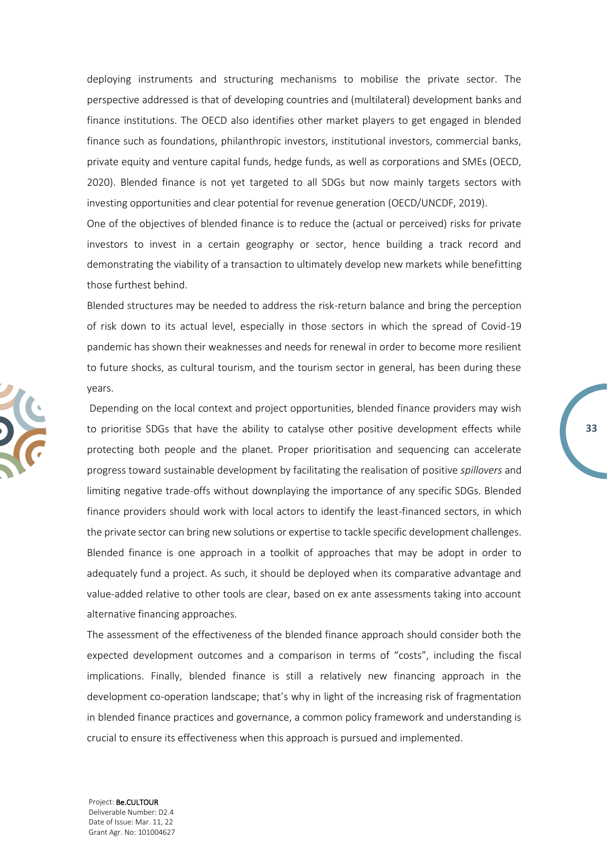deploying instruments and structuring mechanisms to mobilise the private sector. The perspective addressed is that of developing countries and (multilateral) development banks and finance institutions. The OECD also identifies other market players to get engaged in blended finance such as foundations, philanthropic investors, institutional investors, commercial banks, private equity and venture capital funds, hedge funds, as well as corporations and SMEs (OECD, 2020). Blended finance is not yet targeted to all SDGs but now mainly targets sectors with investing opportunities and clear potential for revenue generation (OECD/UNCDF, 2019).

One of the objectives of blended finance is to reduce the (actual or perceived) risks for private investors to invest in a certain geography or sector, hence building a track record and demonstrating the viability of a transaction to ultimately develop new markets while benefitting those furthest behind.

Blended structures may be needed to address the risk-return balance and bring the perception of risk down to its actual level, especially in those sectors in which the spread of Covid-19 pandemic has shown their weaknesses and needs for renewal in order to become more resilient to future shocks, as cultural tourism, and the tourism sector in general, has been during these years.

**33**

Depending on the local context and project opportunities, blended finance providers may wish to prioritise SDGs that have the ability to catalyse other positive development effects while protecting both people and the planet. Proper prioritisation and sequencing can accelerate progress toward sustainable development by facilitating the realisation of positive *spillovers* and limiting negative trade-offs without downplaying the importance of any specific SDGs. Blended finance providers should work with local actors to identify the least-financed sectors, in which the private sector can bring new solutions or expertise to tackle specific development challenges. Blended finance is one approach in a toolkit of approaches that may be adopt in order to adequately fund a project. As such, it should be deployed when its comparative advantage and value-added relative to other tools are clear, based on ex ante assessments taking into account alternative financing approaches.

The assessment of the effectiveness of the blended finance approach should consider both the expected development outcomes and a comparison in terms of "costs", including the fiscal implications. Finally, blended finance is still a relatively new financing approach in the development co-operation landscape; that's why in light of the increasing risk of fragmentation in blended finance practices and governance, a common policy framework and understanding is crucial to ensure its effectiveness when this approach is pursued and implemented.

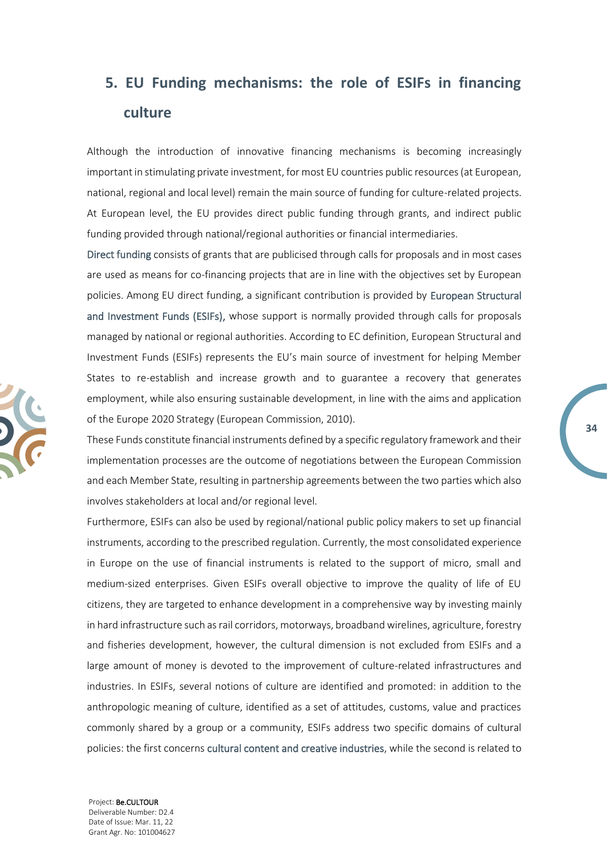# <span id="page-33-0"></span>**5. EU Funding mechanisms: the role of ESIFs in financing culture**

Although the introduction of innovative financing mechanisms is becoming increasingly important in stimulating private investment, for most EU countries public resources (at European, national, regional and local level) remain the main source of funding for culture-related projects. At European level, the EU provides direct public funding through grants, and indirect public funding provided through national/regional authorities or financial intermediaries.

Direct funding consists of grants that are publicised through calls for proposals and in most cases are used as means for co-financing projects that are in line with the objectives set by European policies. Among EU direct funding, a significant contribution is provided by European Structural and Investment Funds (ESIFs), whose support is normally provided through calls for proposals managed by national or regional authorities. According to EC definition, European Structural and Investment Funds (ESIFs) represents the EU's main source of investment for helping Member States to re-establish and increase growth and to guarantee a recovery that generates employment, while also ensuring sustainable development, in line with the aims and application of the Europe 2020 Strategy (European Commission, 2010).

These Funds constitute financial instruments defined by a specific regulatory framework and their implementation processes are the outcome of negotiations between the European Commission and each Member State, resulting in partnership agreements between the two parties which also involves stakeholders at local and/or regional level.

**34**

Furthermore, ESIFs can also be used by regional/national public policy makers to set up financial instruments, according to the prescribed regulation. Currently, the most consolidated experience in Europe on the use of financial instruments is related to the support of micro, small and medium-sized enterprises. Given ESIFs overall objective to improve the quality of life of EU citizens, they are targeted to enhance development in a comprehensive way by investing mainly in hard infrastructure such as rail corridors, motorways, broadband wirelines, agriculture, forestry and fisheries development, however, the cultural dimension is not excluded from ESIFs and a large amount of money is devoted to the improvement of culture-related infrastructures and industries. In ESIFs, several notions of culture are identified and promoted: in addition to the anthropologic meaning of culture, identified as a set of attitudes, customs, value and practices commonly shared by a group or a community, ESIFs address two specific domains of cultural policies: the first concerns cultural content and creative industries, while the second is related to

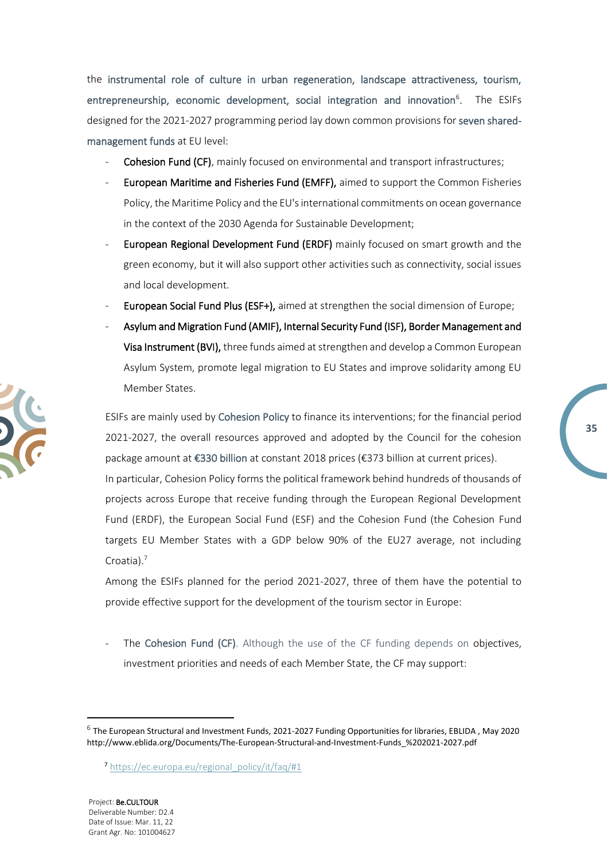the instrumental role of culture in urban regeneration, landscape attractiveness, tourism, entrepreneurship, economic development, social integration and innovation<sup>6</sup>. The ESIFs designed for the 2021-2027 programming period lay down common provisions for seven sharedmanagement funds at EU level:

- Cohesion Fund (CF), mainly focused on environmental and transport infrastructures;
- European Maritime and Fisheries Fund (EMFF), aimed to support the Common Fisheries Policy, the Maritime Policy and the EU's international commitments on ocean governance in the context of the 2030 Agenda for Sustainable Development;
- European Regional Development Fund (ERDF) mainly focused on smart growth and the green economy, but it will also support other activities such as connectivity, social issues and local development.
- European Social Fund Plus (ESF+), aimed at strengthen the social dimension of Europe;
- Asylum and Migration Fund (AMIF), Internal Security Fund (ISF), Border Management and Visa Instrument (BVI), three funds aimed at strengthen and develop a Common European Asylum System, promote legal migration to EU States and improve solidarity among EU Member States.

ESIFs are mainly used by Cohesion Policy to finance its interventions; for the financial period 2021-2027, the overall resources approved and adopted by the Council for the cohesion package amount at €330 billion at constant 2018 prices (€373 billion at current prices).

In particular, Cohesion Policy forms the political framework behind hundreds of thousands of projects across Europe that receive funding through the European Regional Development Fund (ERDF), the European Social Fund (ESF) and the Cohesion Fund (the Cohesion Fund targets EU Member States with a GDP below 90% of the EU27 average, not including Croatia).<sup>7</sup>

Among the ESIFs planned for the period 2021-2027, three of them have the potential to provide effective support for the development of the tourism sector in Europe:

The Cohesion Fund (CF). Although the use of the CF funding depends on objectives, investment priorities and needs of each Member State, the CF may support:

<sup>7</sup> [https://ec.europa.eu/regional\\_policy/it/faq/#1](https://ec.europa.eu/regional_policy/it/faq/#1)





**35**

<sup>6</sup> The European Structural and Investment Funds, 2021-2027 Funding Opportunities for libraries, EBLIDA , May 2020 http://www.eblida.org/Documents/The-European-Structural-and-Investment-Funds\_%202021-2027.pdf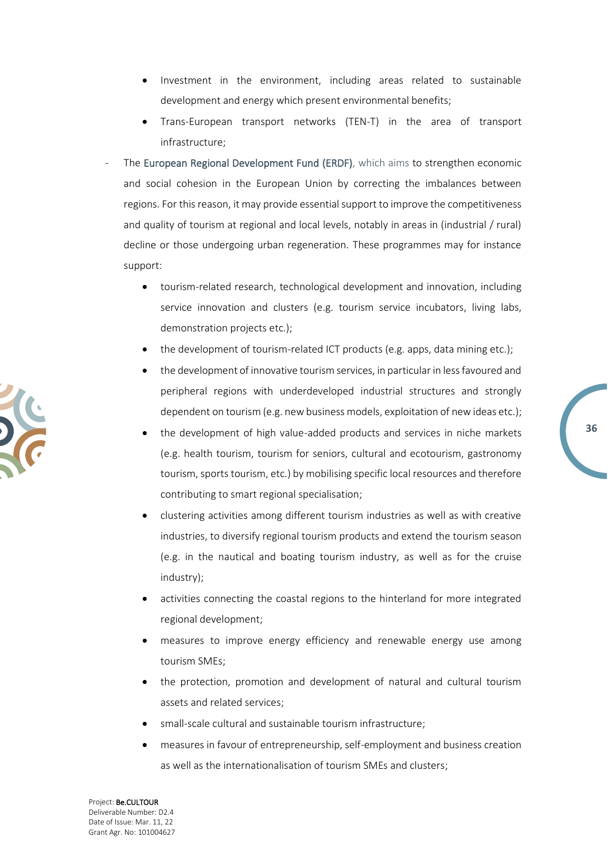- Investment in the environment, including areas related to sustainable development and energy which present environmental benefits;
- Trans-European transport networks (TEN-T) in the area of transport infrastructure;
- The European Regional Development Fund (ERDF), which aims to strengthen economic and social cohesion in the European Union by correcting the imbalances between regions. For this reason, it may provide essential support to improve the competitiveness and quality of tourism at regional and local levels, notably in areas in (industrial / rural) decline or those undergoing urban regeneration. These programmes may for instance support:
	- tourism-related research, technological development and innovation, including service innovation and clusters (e.g. tourism service incubators, living labs, demonstration projects etc.);
	- the development of tourism-related ICT products (e.g. apps, data mining etc.);
	- the development of innovative tourism services, in particular in less favoured and peripheral regions with underdeveloped industrial structures and strongly dependent on tourism (e.g. new business models, exploitation of new ideas etc.);
	- the development of high value-added products and services in niche markets (e.g. health tourism, tourism for seniors, cultural and ecotourism, gastronomy tourism, sports tourism, etc.) by mobilising specific local resources and therefore contributing to smart regional specialisation;
	- clustering activities among different tourism industries as well as with creative industries, to diversify regional tourism products and extend the tourism season (e.g. in the nautical and boating tourism industry, as well as for the cruise industry);
	- activities connecting the coastal regions to the hinterland for more integrated regional development;
	- measures to improve energy efficiency and renewable energy use among tourism SMEs;
	- the protection, promotion and development of natural and cultural tourism assets and related services;
	- small-scale cultural and sustainable tourism infrastructure;
	- measures in favour of entrepreneurship, self-employment and business creation as well as the internationalisation of tourism SMEs and clusters;

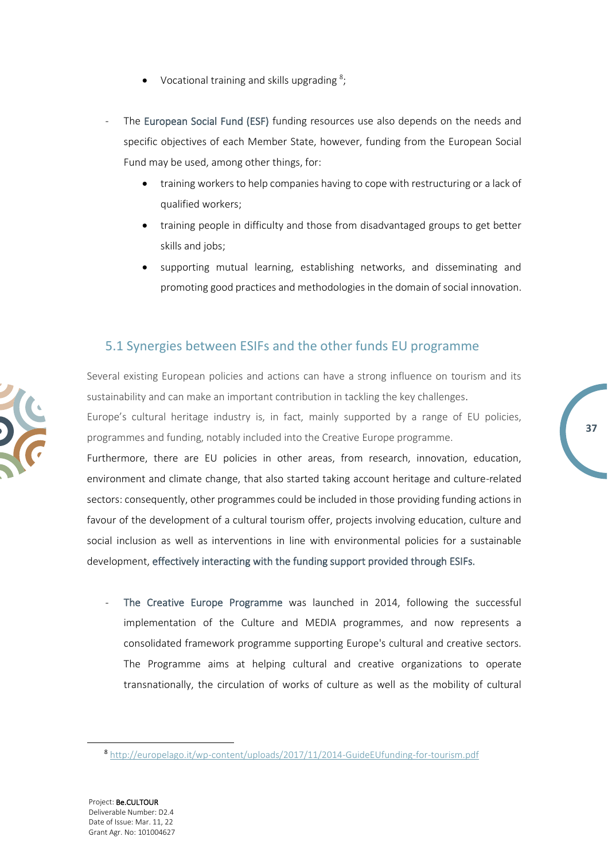- $\bullet$  Vocational training and skills upgrading  $^8$ ;
- The European Social Fund (ESF) funding resources use also depends on the needs and specific objectives of each Member State, however, funding from the European Social Fund may be used, among other things, for:
	- training workers to help companies having to cope with restructuring or a lack of qualified workers;
	- training people in difficulty and those from disadvantaged groups to get better skills and jobs;
	- supporting mutual learning, establishing networks, and disseminating and promoting good practices and methodologies in the domain of social innovation.

### <span id="page-36-0"></span>5.1 Synergies between ESIFs and the other funds EU programme

Several existing European policies and actions can have a strong influence on tourism and its sustainability and can make an important contribution in tackling the key challenges.

Europe's cultural heritage industry is, in fact, mainly supported by a range of EU policies, programmes and funding, notably included into the Creative Europe programme.

**37**

Furthermore, there are EU policies in other areas, from research, innovation, education, environment and climate change, that also started taking account heritage and culture-related sectors: consequently, other programmes could be included in those providing funding actions in favour of the development of a cultural tourism offer, projects involving education, culture and social inclusion as well as interventions in line with environmental policies for a sustainable development, effectively interacting with the funding support provided through ESIFs.

The Creative Europe Programme was launched in 2014, following the successful implementation of the Culture and MEDIA programmes, and now represents a consolidated framework programme supporting Europe's cultural and creative sectors. The Programme aims at helping cultural and creative organizations to operate transnationally, the circulation of works of culture as well as the mobility of cultural

<sup>8</sup> <http://europelago.it/wp-content/uploads/2017/11/2014-GuideEUfunding-for-tourism.pdf>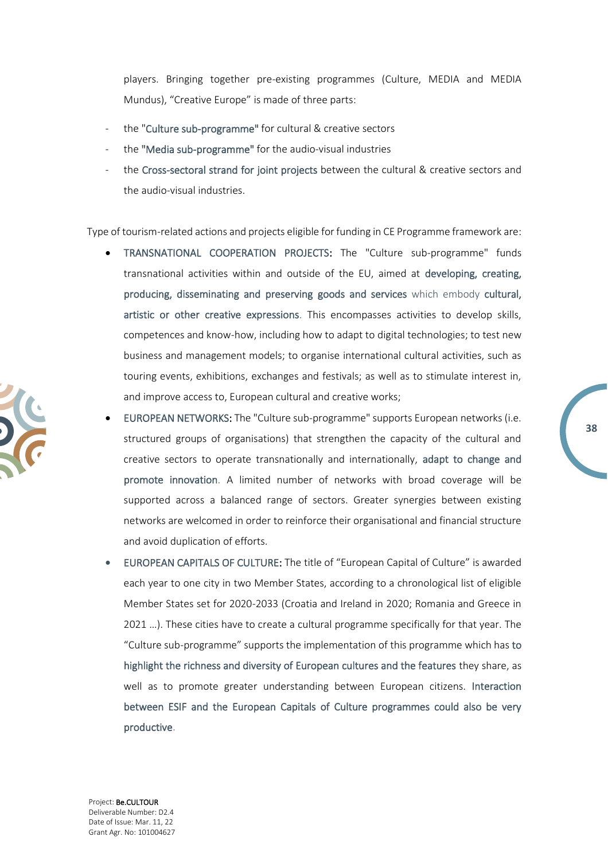players. Bringing together pre-existing programmes (Culture, MEDIA and MEDIA Mundus), "Creative Europe" is made of three parts:

- the "Culture sub-programme" for cultural & creative sectors
- the "Media sub-programme" for the audio-visual industries
- the Cross-sectoral strand for joint projects between the cultural & creative sectors and the audio-visual industries.

Type of tourism-related actions and projects eligible for funding in CE Programme framework are:

- TRANSNATIONAL COOPERATION PROJECTS: The "Culture sub-programme" funds transnational activities within and outside of the EU, aimed at developing, creating, producing, disseminating and preserving goods and services which embody cultural, artistic or other creative expressions. This encompasses activities to develop skills, competences and know-how, including how to adapt to digital technologies; to test new business and management models; to organise international cultural activities, such as touring events, exhibitions, exchanges and festivals; as well as to stimulate interest in, and improve access to, European cultural and creative works;
- EUROPEAN NETWORKS: The "Culture sub-programme" supports European networks (i.e. structured groups of organisations) that strengthen the capacity of the cultural and creative sectors to operate transnationally and internationally, adapt to change and promote innovation. A limited number of networks with broad coverage will be supported across a balanced range of sectors. Greater synergies between existing networks are welcomed in order to reinforce their organisational and financial structure and avoid duplication of efforts.

**38**

• EUROPEAN CAPITALS OF CULTURE: The title of "European Capital of Culture" is awarded each year to one city in two Member States, according to a chronological list of eligible Member States set for 2020-2033 (Croatia and Ireland in 2020; Romania and Greece in 2021 …). These cities have to create a cultural programme specifically for that year. The "Culture sub-programme" supports the implementation of this programme which has to highlight the richness and diversity of European cultures and the features they share, as well as to promote greater understanding between European citizens. Interaction between ESIF and the European Capitals of Culture programmes could also be very productive.

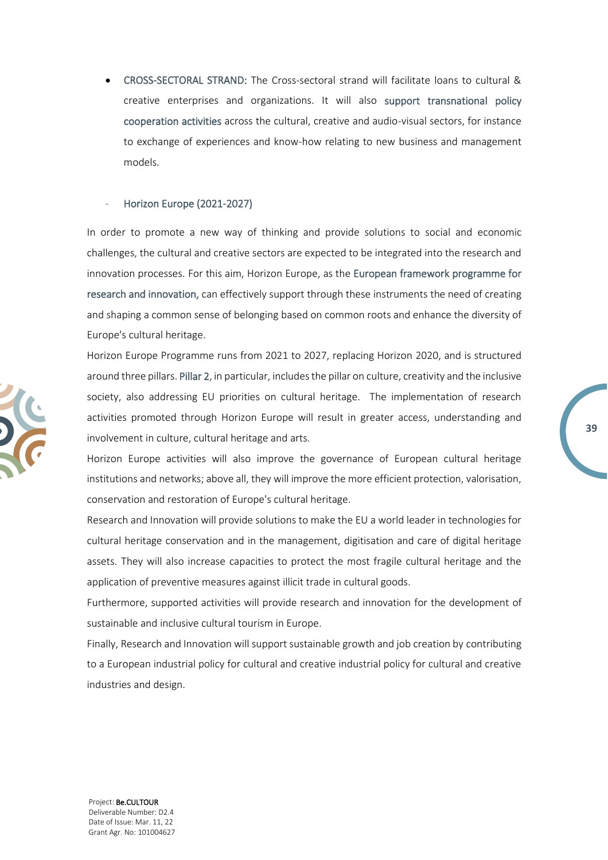• CROSS-SECTORAL STRAND: The Cross-sectoral strand will facilitate loans to cultural & creative enterprises and organizations. It will also support transnational policy cooperation activities across the cultural, creative and audio-visual sectors, for instance to exchange of experiences and know-how relating to new business and management models.

#### - Horizon Europe (2021-2027)

In order to promote a new way of thinking and provide solutions to social and economic challenges, the cultural and creative sectors are expected to be integrated into the research and innovation processes. For this aim, Horizon Europe, as the European framework programme for research and innovation, can effectively support through these instruments the need of creating and shaping a common sense of belonging based on common roots and enhance the diversity of Europe's cultural heritage.

Horizon Europe Programme runs from 2021 to 2027, replacing Horizon 2020, and is structured around three pillars. Pillar 2, in particular, includes the pillar on culture, creativity and the inclusive society, also addressing EU priorities on cultural heritage. The implementation of research activities promoted through Horizon Europe will result in greater access, understanding and involvement in culture, cultural heritage and arts.

**39**

Horizon Europe activities will also improve the governance of European cultural heritage institutions and networks; above all, they will improve the more efficient protection, valorisation, conservation and restoration of Europe's cultural heritage.

Research and Innovation will provide solutions to make the EU a world leader in technologies for cultural heritage conservation and in the management, digitisation and care of digital heritage assets. They will also increase capacities to protect the most fragile cultural heritage and the application of preventive measures against illicit trade in cultural goods.

Furthermore, supported activities will provide research and innovation for the development of sustainable and inclusive cultural tourism in Europe.

Finally, Research and Innovation will support sustainable growth and job creation by contributing to a European industrial policy for cultural and creative industrial policy for cultural and creative industries and design.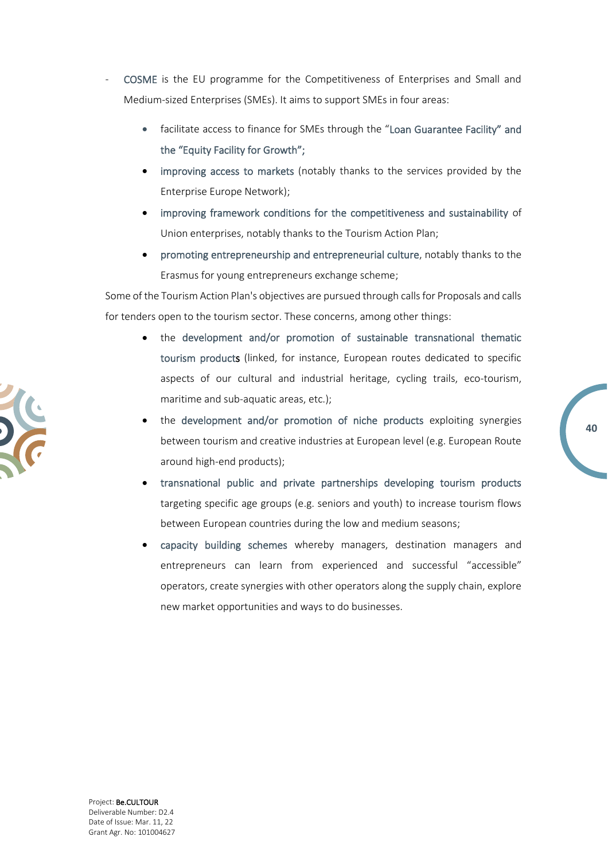- COSME is the EU programme for the Competitiveness of Enterprises and Small and Medium-sized Enterprises (SMEs). It aims to support SMEs in four areas:
	- facilitate access to finance for SMEs through the "Loan Guarantee Facility" and the "Equity Facility for Growth";
	- improving access to markets (notably thanks to the services provided by the Enterprise Europe Network);
	- improving framework conditions for the competitiveness and sustainability of Union enterprises, notably thanks to the Tourism Action Plan;
	- promoting entrepreneurship and entrepreneurial culture, notably thanks to the Erasmus for young entrepreneurs exchange scheme;

Some of the Tourism Action Plan's objectives are pursued through calls for Proposals and calls for tenders open to the tourism sector. These concerns, among other things:

- the development and/or promotion of sustainable transnational thematic tourism products (linked, for instance, European routes dedicated to specific aspects of our cultural and industrial heritage, cycling trails, eco-tourism, maritime and sub-aquatic areas, etc.);
- the development and/or promotion of niche products exploiting synergies between tourism and creative industries at European level (e.g. European Route around high-end products);
- transnational public and private partnerships developing tourism products targeting specific age groups (e.g. seniors and youth) to increase tourism flows between European countries during the low and medium seasons;
- capacity building schemes whereby managers, destination managers and entrepreneurs can learn from experienced and successful "accessible" operators, create synergies with other operators along the supply chain, explore new market opportunities and ways to do businesses.



**40**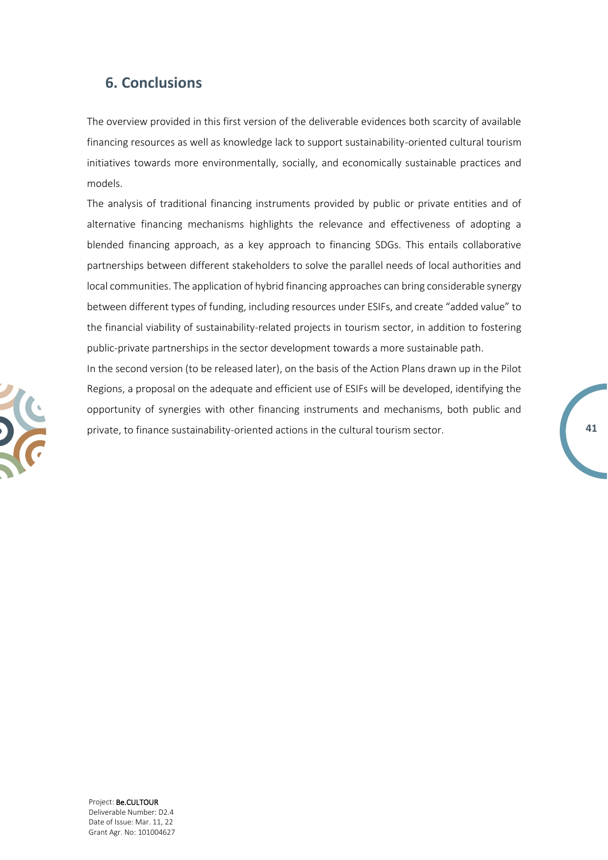### <span id="page-40-0"></span>**6. Conclusions**

The overview provided in this first version of the deliverable evidences both scarcity of available financing resources as well as knowledge lack to support sustainability-oriented cultural tourism initiatives towards more environmentally, socially, and economically sustainable practices and models.

The analysis of traditional financing instruments provided by public or private entities and of alternative financing mechanisms highlights the relevance and effectiveness of adopting a blended financing approach, as a key approach to financing SDGs. This entails collaborative partnerships between different stakeholders to solve the parallel needs of local authorities and local communities. The application of hybrid financing approaches can bring considerable synergy between different types of funding, including resources under ESIFs, and create "added value" to the financial viability of sustainability-related projects in tourism sector, in addition to fostering public-private partnerships in the sector development towards a more sustainable path.

In the second version (to be released later), on the basis of the Action Plans drawn up in the Pilot Regions, a proposal on the adequate and efficient use of ESIFs will be developed, identifying the opportunity of synergies with other financing instruments and mechanisms, both public and private, to finance sustainability-oriented actions in the cultural tourism sector.

**41**

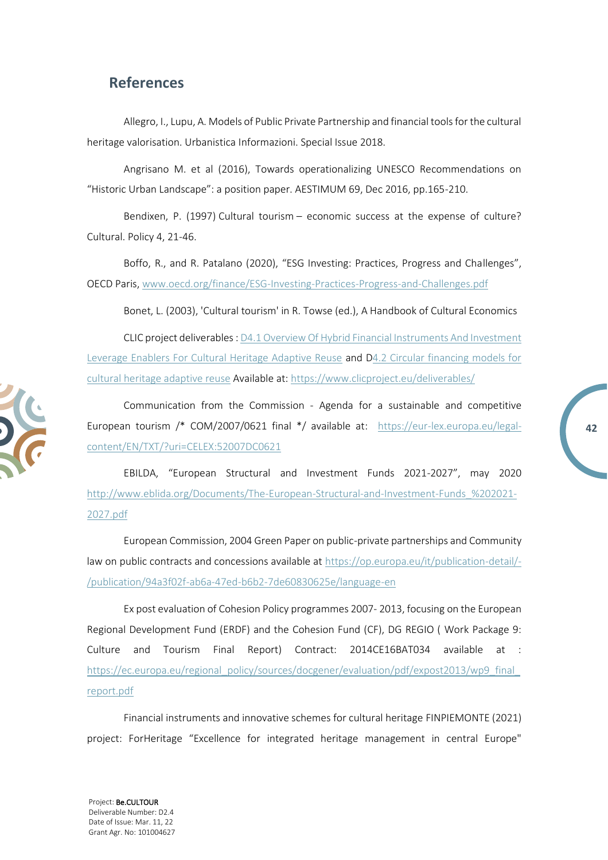### <span id="page-41-0"></span>**References**

Allegro, I., Lupu, A. Models of Public Private Partnership and financial tools for the cultural heritage valorisation. Urbanistica Informazioni. Special Issue 2018.

Angrisano M. et al (2016), Towards operationalizing UNESCO Recommendations on "Historic Urban Landscape": a position paper. AESTIMUM 69, Dec 2016, pp.165-210.

Bendixen, P. (1997) Cultural tourism – economic success at the expense of culture? Cultural. Policy 4, 21-46.

Boffo, R., and R. Patalano (2020), "ESG Investing: Practices, Progress and Challenges", OECD Paris, [www.oecd.org/finance/ESG-Investing-Practices-Progress-and-Challenges.pdf](http://www.oecd.org/finance/ESG-Investing-Practices-Progress-and-Challenges.pdf)

Bonet, L. (2003), 'Cultural tourism' in R. Towse (ed.), A Handbook of Cultural Economics

CLIC project deliverables [: D4.1 Overview Of Hybrid Financial Instruments And Investment](https://www.clicproject.eu/wp-content/uploads/2021/06/D4.1-Overview-of-Hybrid-Financial-Instruments-and-Investment-Leverage-Enablers-for-Cultural-Heritage-Adaptive-Reuse.pdf)  [Leverage Enablers For Cultural Heritage Adaptive Reuse](https://www.clicproject.eu/wp-content/uploads/2021/06/D4.1-Overview-of-Hybrid-Financial-Instruments-and-Investment-Leverage-Enablers-for-Cultural-Heritage-Adaptive-Reuse.pdf) and [D4.2 Circular financing models for](https://www.clicproject.eu/wp-content/uploads/2022/01/D4.2-Circular-financing-models-for-cultural-heritage-adaptive-reuse.pdf)  [cultural heritage adaptive reuse](https://www.clicproject.eu/wp-content/uploads/2022/01/D4.2-Circular-financing-models-for-cultural-heritage-adaptive-reuse.pdf) Available at[: https://www.clicproject.eu/deliverables/](https://www.clicproject.eu/deliverables/)

Communication from the Commission - Agenda for a sustainable and competitive European tourism /\* COM/2007/0621 final \*/ available at: [https://eur-lex.europa.eu/legal](https://eur-lex.europa.eu/legal-content/EN/TXT/?uri=CELEX:52007DC0621)[content/EN/TXT/?uri=CELEX:52007DC0621](https://eur-lex.europa.eu/legal-content/EN/TXT/?uri=CELEX:52007DC0621)

**42**

EBILDA, "European Structural and Investment Funds 2021-2027", may 2020 [http://www.eblida.org/Documents/The-European-Structural-and-Investment-Funds\\_%202021-](http://www.eblida.org/Documents/The-European-Structural-and-Investment-Funds_%202021-2027.pdf) [2027.pdf](http://www.eblida.org/Documents/The-European-Structural-and-Investment-Funds_%202021-2027.pdf)

European Commission, 2004 Green Paper on public-private partnerships and Community law on public contracts and concessions available at [https://op.europa.eu/it/publication-detail/-](https://op.europa.eu/it/publication-detail/-/publication/94a3f02f-ab6a-47ed-b6b2-7de60830625e/language-en) [/publication/94a3f02f-ab6a-47ed-b6b2-7de60830625e/language-en](https://op.europa.eu/it/publication-detail/-/publication/94a3f02f-ab6a-47ed-b6b2-7de60830625e/language-en)

Ex post evaluation of Cohesion Policy programmes 2007- 2013, focusing on the European Regional Development Fund (ERDF) and the Cohesion Fund (CF), DG REGIO ( Work Package 9: Culture and Tourism Final Report) Contract: 2014CE16BAT034 available at : [https://ec.europa.eu/regional\\_policy/sources/docgener/evaluation/pdf/expost2013/wp9\\_final\\_](https://ec.europa.eu/regional_policy/sources/docgener/evaluation/pdf/expost2013/wp9_final_report.pdf) [report.pdf](https://ec.europa.eu/regional_policy/sources/docgener/evaluation/pdf/expost2013/wp9_final_report.pdf)

Financial instruments and innovative schemes for cultural heritage FINPIEMONTE (2021) project: ForHeritage "Excellence for integrated heritage management in central Europe"

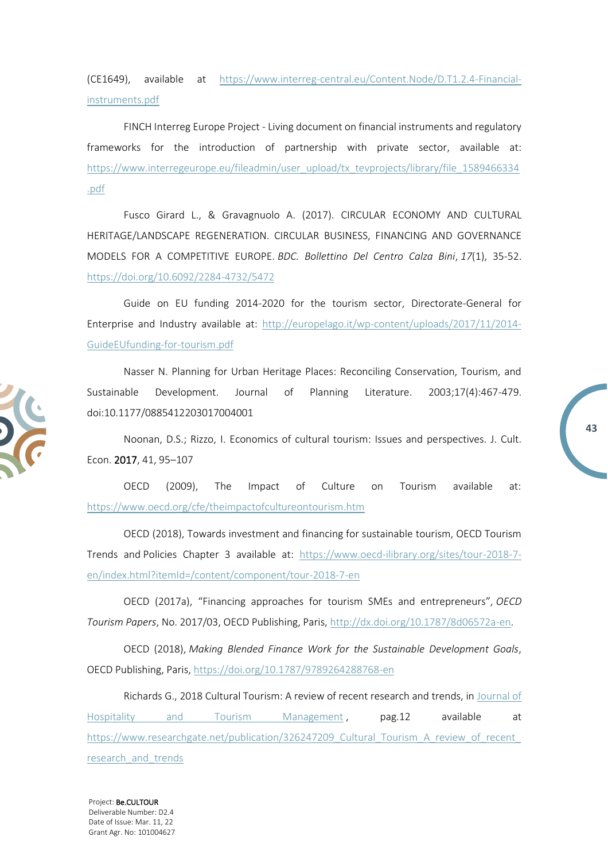(CE1649), available at [https://www.interreg-central.eu/Content.Node/D.T1.2.4-Financial](https://www.interreg-central.eu/Content.Node/D.T1.2.4-Financial-instruments.pdf)[instruments.pdf](https://www.interreg-central.eu/Content.Node/D.T1.2.4-Financial-instruments.pdf)

FINCH Interreg Europe Project - Living document on financial instruments and regulatory frameworks for the introduction of partnership with private sector, available at: [https://www.interregeurope.eu/fileadmin/user\\_upload/tx\\_tevprojects/library/file\\_1589466334](https://www.interregeurope.eu/fileadmin/user_upload/tx_tevprojects/library/file_1589466334.pdf) [.pdf](https://www.interregeurope.eu/fileadmin/user_upload/tx_tevprojects/library/file_1589466334.pdf)

Fusco Girard L., & Gravagnuolo A. (2017). CIRCULAR ECONOMY AND CULTURAL HERITAGE/LANDSCAPE REGENERATION. CIRCULAR BUSINESS, FINANCING AND GOVERNANCE MODELS FOR A COMPETITIVE EUROPE. *BDC. Bollettino Del Centro Calza Bini*, *17*(1), 35-52. <https://doi.org/10.6092/2284-4732/5472>

Guide on EU funding 2014-2020 for the tourism sector, Directorate-General for Enterprise and Industry available at: [http://europelago.it/wp-content/uploads/2017/11/2014-](http://europelago.it/wp-content/uploads/2017/11/2014-GuideEUfunding-for-tourism.pdf) [GuideEUfunding-for-tourism.pdf](http://europelago.it/wp-content/uploads/2017/11/2014-GuideEUfunding-for-tourism.pdf)

Nasser N. Planning for Urban Heritage Places: Reconciling Conservation, Tourism, and Sustainable Development. Journal of Planning Literature. 2003;17(4):467-479. doi:10.1177/0885412203017004001

Noonan, D.S.; Rizzo, I. Economics of cultural tourism: Issues and perspectives. J. Cult. Econ. 2017, 41, 95–107

**43**

OECD (2009), The Impact of Culture on Tourism available at: <https://www.oecd.org/cfe/theimpactofcultureontourism.htm>

OECD (2018), Towards investment and financing for sustainable tourism, OECD Tourism Trends and Policies Chapter 3 available at: [https://www.oecd-ilibrary.org/sites/tour-2018-7](https://www.oecd-ilibrary.org/sites/tour-2018-7-en/index.html?itemId=/content/component/tour-2018-7-en) [en/index.html?itemId=/content/component/tour-2018-7-en](https://www.oecd-ilibrary.org/sites/tour-2018-7-en/index.html?itemId=/content/component/tour-2018-7-en)

OECD (2017a), "Financing approaches for tourism SMEs and entrepreneurs", *OECD Tourism Papers*, No. 2017/03, OECD Publishing, Paris, [http://dx.doi.org/10.1787/8d06572a-en.](http://dx.doi.org/10.1787/8d06572a-en)

OECD (2018), *Making Blended Finance Work for the Sustainable Development Goals*, OECD Publishing, Paris, <https://doi.org/10.1787/9789264288768-en>

Richards G., 2018 Cultural Tourism: A review of recent research and trends, in [Journal of](https://www.researchgate.net/journal/Journal-of-Hospitality-and-Tourism-Management-1447-6770)  [Hospitality and Tourism Management](https://www.researchgate.net/journal/Journal-of-Hospitality-and-Tourism-Management-1447-6770), pag.12 available at [https://www.researchgate.net/publication/326247209\\_Cultural\\_Tourism\\_A\\_review\\_of\\_recent\\_](https://www.researchgate.net/publication/326247209_Cultural_Tourism_A_review_of_recent_research_and_trends) research and trends

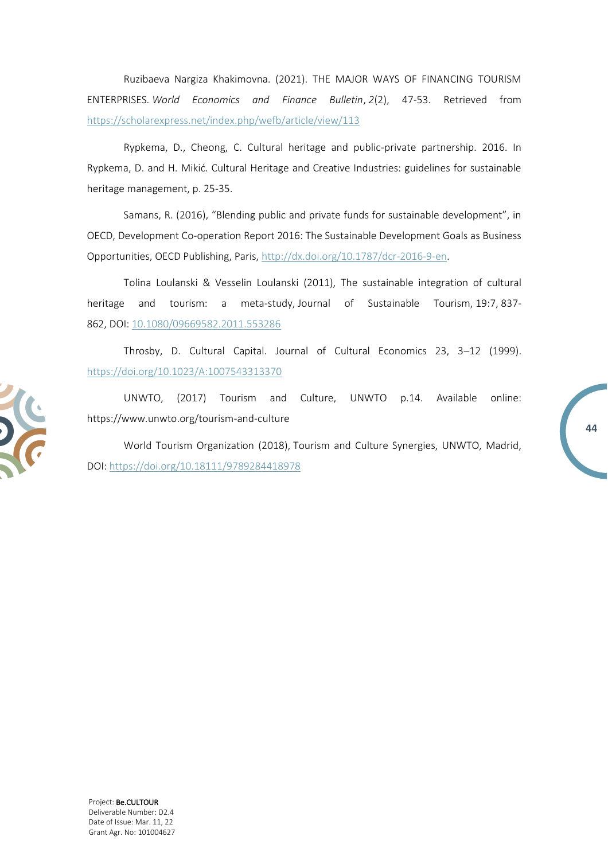Ruzibaeva Nargiza Khakimovna. (2021). THE MAJOR WAYS OF FINANCING TOURISM ENTERPRISES. *World Economics and Finance Bulletin*, *2*(2), 47-53. Retrieved from <https://scholarexpress.net/index.php/wefb/article/view/113>

Rypkema, D., Cheong, C. Cultural heritage and public-private partnership. 2016. In Rypkema, D. and H. Mikić. Cultural Heritage and Creative Industries: guidelines for sustainable heritage management, p. 25-35.

Samans, R. (2016), "Blending public and private funds for sustainable development", in OECD, Development Co-operation Report 2016: The Sustainable Development Goals as Business Opportunities, OECD Publishing, Paris, [http://dx.doi.org/10.1787/dcr-2016-9-en.](http://dx.doi.org/10.1787/dcr-2016-9-en)

Tolina Loulanski & Vesselin Loulanski (2011), The sustainable integration of cultural heritage and tourism: a meta-study, Journal of Sustainable Tourism, 19:7, 837- 862, DOI: [10.1080/09669582.2011.553286](https://doi.org/10.1080/09669582.2011.553286)

Throsby, D. Cultural Capital. Journal of Cultural Economics 23, 3–12 (1999). <https://doi.org/10.1023/A:1007543313370>

UNWTO, (2017) Tourism and Culture, UNWTO p.14. Available online: https://www.unwto.org/tourism-and-culture

**44**

World Tourism Organization (2018), Tourism and Culture Synergies, UNWTO, Madrid, DOI: <https://doi.org/10.18111/9789284418978>